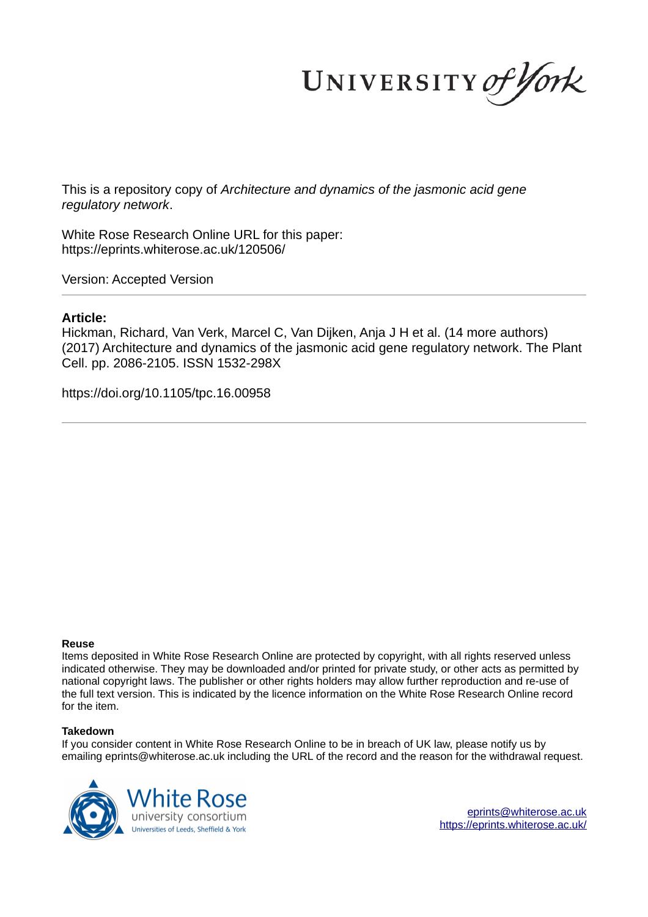UNIVERSITY of York

This is a repository copy of *Architecture and dynamics of the jasmonic acid gene regulatory network*.

White Rose Research Online URL for this paper: https://eprints.whiterose.ac.uk/120506/

Version: Accepted Version

## **Article:**

Hickman, Richard, Van Verk, Marcel C, Van Dijken, Anja J H et al. (14 more authors) (2017) Architecture and dynamics of the jasmonic acid gene regulatory network. The Plant Cell. pp. 2086-2105. ISSN 1532-298X

https://doi.org/10.1105/tpc.16.00958

#### **Reuse**

Items deposited in White Rose Research Online are protected by copyright, with all rights reserved unless indicated otherwise. They may be downloaded and/or printed for private study, or other acts as permitted by national copyright laws. The publisher or other rights holders may allow further reproduction and re-use of the full text version. This is indicated by the licence information on the White Rose Research Online record for the item.

#### **Takedown**

If you consider content in White Rose Research Online to be in breach of UK law, please notify us by emailing eprints@whiterose.ac.uk including the URL of the record and the reason for the withdrawal request.



eprints@whiterose.ac.uk https://eprints.whiterose.ac.uk/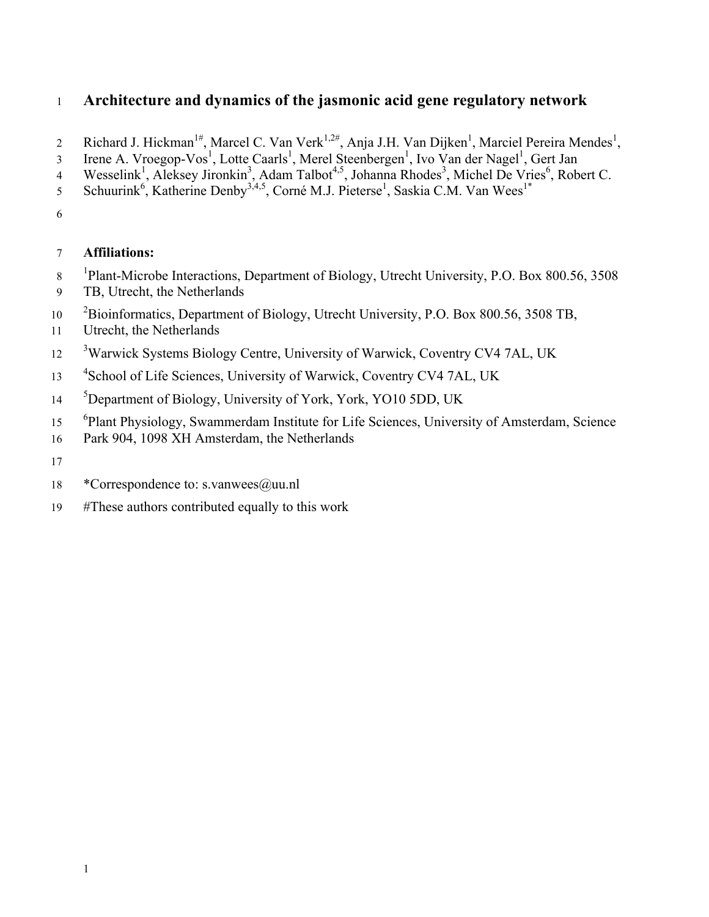# 1 **Architecture and dynamics of the jasmonic acid gene regulatory network**

- 2 Richard J. Hickman<sup>1#</sup>, Marcel C. Van Verk<sup>1,2#</sup>, Anja J.H. Van Dijken<sup>1</sup>, Marciel Pereira Mendes<sup>1</sup>,
- 3 Irene A. Vroegop-Vos<sup>1</sup>, Lotte Caarls<sup>1</sup>, Merel Steenbergen<sup>1</sup>, Ivo Van der Nagel<sup>1</sup>, Gert Jan
- 4 Wesselink<sup>1</sup>, Aleksey Jironkin<sup>3</sup>, Adam Talbot<sup>4,5</sup>, Johanna Rhodes<sup>3</sup>, Michel De Vries<sup>6</sup>, Robert C.
- 5 Schuurink<sup>6</sup>, Katherine Denby<sup>3,4,5</sup>, Corné M.J. Pieterse<sup>1</sup>, Saskia C.M. Van Wees<sup>1\*</sup>
- 6

# 7 **Affiliations:**

- <sup>1</sup>Plant-Microbe Interactions, Department of Biology, Utrecht University, P.O. Box 800.56, 3508
- 9 TB, Utrecht, the Netherlands
- <sup>2</sup>Bioinformatics, Department of Biology, Utrecht University, P.O. Box 800.56, 3508 TB,
- 11 Utrecht, the Netherlands
- <sup>3</sup>Warwick Systems Biology Centre, University of Warwick, Coventry CV4 7AL, UK
- <sup>4</sup>School of Life Sciences, University of Warwick, Coventry CV4 7AL, UK
- <sup>5</sup>Department of Biology, University of York, York, YO10 5DD, UK
- <sup>6</sup>Plant Physiology, Swammerdam Institute for Life Sciences, University of Amsterdam, Science
- 16 Park 904, 1098 XH Amsterdam, the Netherlands
- 17
- 18 \*Correspondence to: s.vanwees@uu.nl
- 19 #These authors contributed equally to this work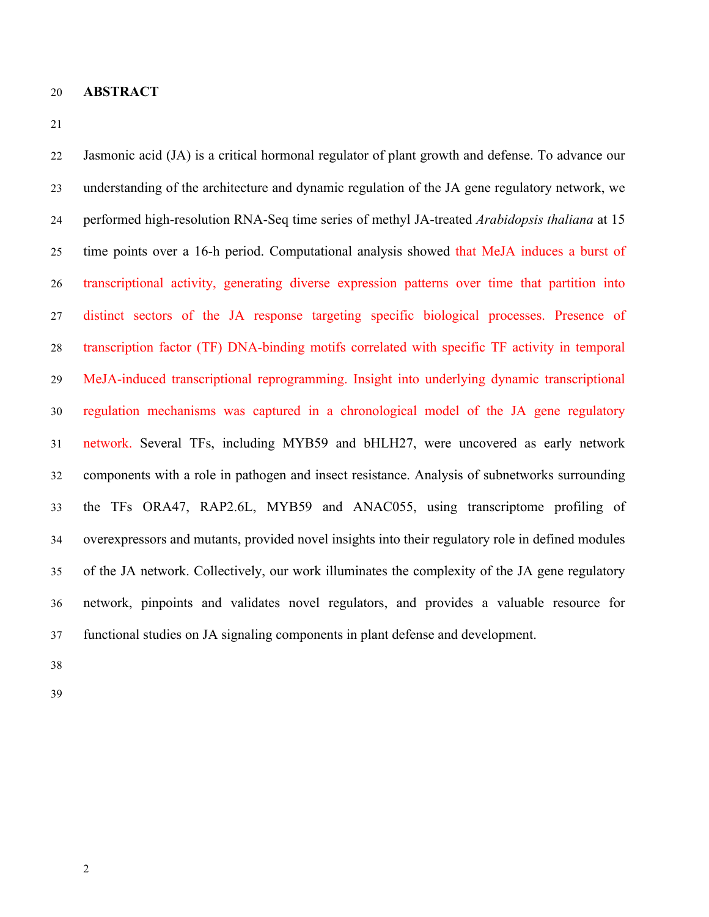**ABSTRACT** 

 Jasmonic acid (JA) is a critical hormonal regulator of plant growth and defense. To advance our understanding of the architecture and dynamic regulation of the JA gene regulatory network, we performed high-resolution RNA-Seq time series of methyl JA-treated *Arabidopsis thaliana* at 15 time points over a 16-h period. Computational analysis showed that MeJA induces a burst of transcriptional activity, generating diverse expression patterns over time that partition into distinct sectors of the JA response targeting specific biological processes. Presence of transcription factor (TF) DNA-binding motifs correlated with specific TF activity in temporal MeJA-induced transcriptional reprogramming. Insight into underlying dynamic transcriptional regulation mechanisms was captured in a chronological model of the JA gene regulatory network. Several TFs, including MYB59 and bHLH27, were uncovered as early network components with a role in pathogen and insect resistance. Analysis of subnetworks surrounding the TFs ORA47, RAP2.6L, MYB59 and ANAC055, using transcriptome profiling of overexpressors and mutants, provided novel insights into their regulatory role in defined modules of the JA network. Collectively, our work illuminates the complexity of the JA gene regulatory network, pinpoints and validates novel regulators, and provides a valuable resource for functional studies on JA signaling components in plant defense and development.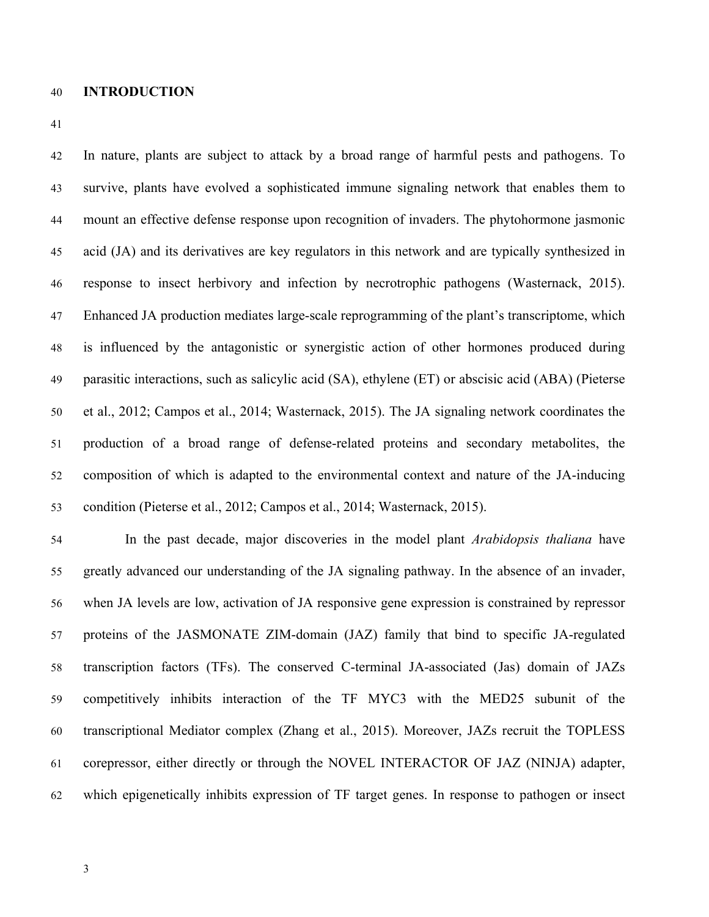#### **INTRODUCTION**

 In nature, plants are subject to attack by a broad range of harmful pests and pathogens. To survive, plants have evolved a sophisticated immune signaling network that enables them to mount an effective defense response upon recognition of invaders. The phytohormone jasmonic acid (JA) and its derivatives are key regulators in this network and are typically synthesized in response to insect herbivory and infection by necrotrophic pathogens (Wasternack, 2015). Enhanced JA production mediates large-scale reprogramming of the plant's transcriptome, which is influenced by the antagonistic or synergistic action of other hormones produced during parasitic interactions, such as salicylic acid (SA), ethylene (ET) or abscisic acid (ABA) (Pieterse et al., 2012; Campos et al., 2014; Wasternack, 2015). The JA signaling network coordinates the production of a broad range of defense-related proteins and secondary metabolites, the composition of which is adapted to the environmental context and nature of the JA-inducing condition (Pieterse et al., 2012; Campos et al., 2014; Wasternack, 2015).

 In the past decade, major discoveries in the model plant *Arabidopsis thaliana* have greatly advanced our understanding of the JA signaling pathway. In the absence of an invader, when JA levels are low, activation of JA responsive gene expression is constrained by repressor proteins of the JASMONATE ZIM-domain (JAZ) family that bind to specific JA-regulated transcription factors (TFs). The conserved C-terminal JA-associated (Jas) domain of JAZs competitively inhibits interaction of the TF MYC3 with the MED25 subunit of the transcriptional Mediator complex (Zhang et al., 2015). Moreover, JAZs recruit the TOPLESS corepressor, either directly or through the NOVEL INTERACTOR OF JAZ (NINJA) adapter, which epigenetically inhibits expression of TF target genes. In response to pathogen or insect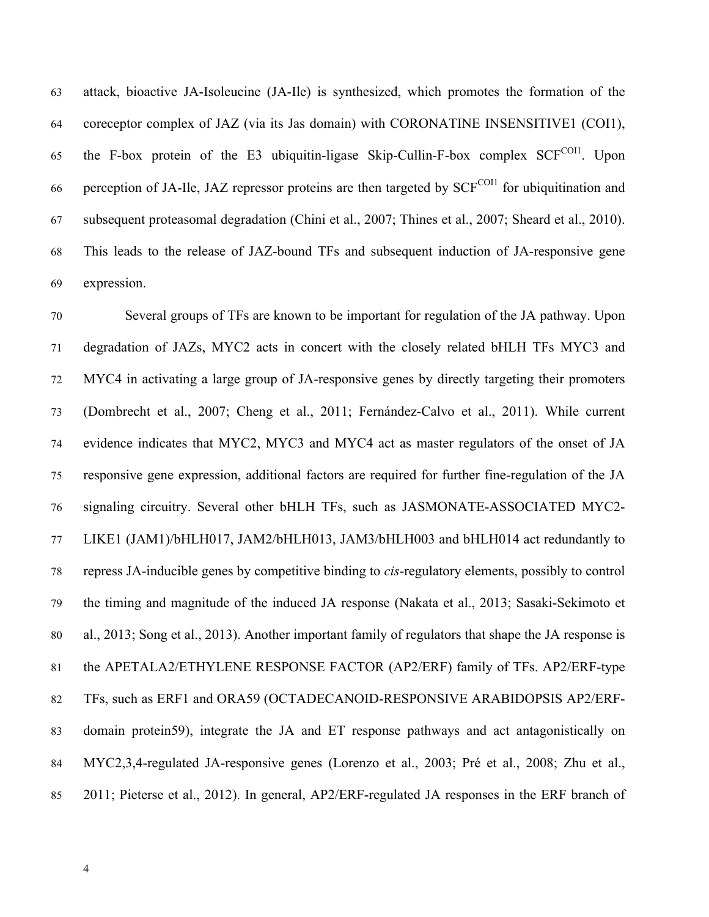attack, bioactive JA-Isoleucine (JA-Ile) is synthesized, which promotes the formation of the coreceptor complex of JAZ (via its Jas domain) with CORONATINE INSENSITIVE1 (COI1), 65 the F-box protein of the E3 ubiquitin-ligase Skip-Cullin-F-box complex  $SCF<sup>COII</sup>$ . Upon 66 perception of JA-Ile, JAZ repressor proteins are then targeted by  $SCF<sup>COII</sup>$  for ubiquitination and subsequent proteasomal degradation (Chini et al., 2007; Thines et al., 2007; Sheard et al., 2010). This leads to the release of JAZ-bound TFs and subsequent induction of JA-responsive gene expression.

 Several groups of TFs are known to be important for regulation of the JA pathway. Upon degradation of JAZs, MYC2 acts in concert with the closely related bHLH TFs MYC3 and MYC4 in activating a large group of JA-responsive genes by directly targeting their promoters (Dombrecht et al., 2007; Cheng et al., 2011; Fernández-Calvo et al., 2011). While current evidence indicates that MYC2, MYC3 and MYC4 act as master regulators of the onset of JA responsive gene expression, additional factors are required for further fine-regulation of the JA signaling circuitry. Several other bHLH TFs, such as JASMONATE-ASSOCIATED MYC2- LIKE1 (JAM1)/bHLH017, JAM2/bHLH013, JAM3/bHLH003 and bHLH014 act redundantly to repress JA-inducible genes by competitive binding to *cis*-regulatory elements, possibly to control the timing and magnitude of the induced JA response (Nakata et al., 2013; Sasaki-Sekimoto et al., 2013; Song et al., 2013). Another important family of regulators that shape the JA response is the APETALA2/ETHYLENE RESPONSE FACTOR (AP2/ERF) family of TFs. AP2/ERF-type TFs, such as ERF1 and ORA59 (OCTADECANOID-RESPONSIVE ARABIDOPSIS AP2/ERF- domain protein59), integrate the JA and ET response pathways and act antagonistically on MYC2,3,4-regulated JA-responsive genes (Lorenzo et al., 2003; Pré et al., 2008; Zhu et al., 2011; Pieterse et al., 2012). In general, AP2/ERF-regulated JA responses in the ERF branch of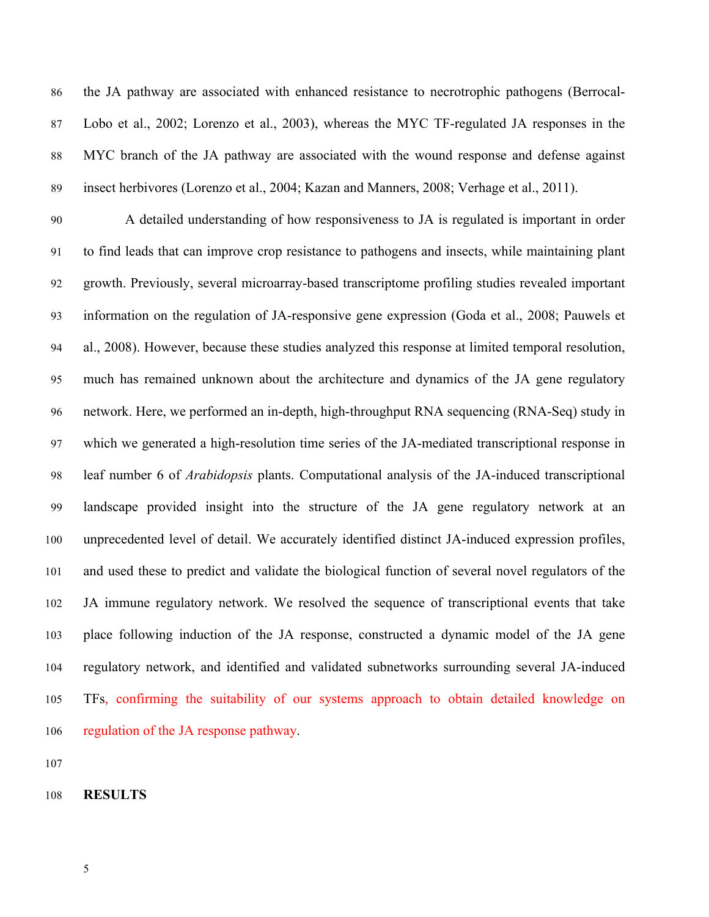the JA pathway are associated with enhanced resistance to necrotrophic pathogens (Berrocal- Lobo et al., 2002; Lorenzo et al., 2003), whereas the MYC TF-regulated JA responses in the MYC branch of the JA pathway are associated with the wound response and defense against insect herbivores (Lorenzo et al., 2004; Kazan and Manners, 2008; Verhage et al., 2011).

 A detailed understanding of how responsiveness to JA is regulated is important in order to find leads that can improve crop resistance to pathogens and insects, while maintaining plant growth. Previously, several microarray-based transcriptome profiling studies revealed important information on the regulation of JA-responsive gene expression (Goda et al., 2008; Pauwels et al., 2008). However, because these studies analyzed this response at limited temporal resolution, much has remained unknown about the architecture and dynamics of the JA gene regulatory network. Here, we performed an in-depth, high-throughput RNA sequencing (RNA-Seq) study in which we generated a high-resolution time series of the JA-mediated transcriptional response in leaf number 6 of *Arabidopsis* plants. Computational analysis of the JA-induced transcriptional landscape provided insight into the structure of the JA gene regulatory network at an unprecedented level of detail. We accurately identified distinct JA-induced expression profiles, and used these to predict and validate the biological function of several novel regulators of the JA immune regulatory network. We resolved the sequence of transcriptional events that take place following induction of the JA response, constructed a dynamic model of the JA gene regulatory network, and identified and validated subnetworks surrounding several JA-induced TFs, confirming the suitability of our systems approach to obtain detailed knowledge on regulation of the JA response pathway.

**RESULTS**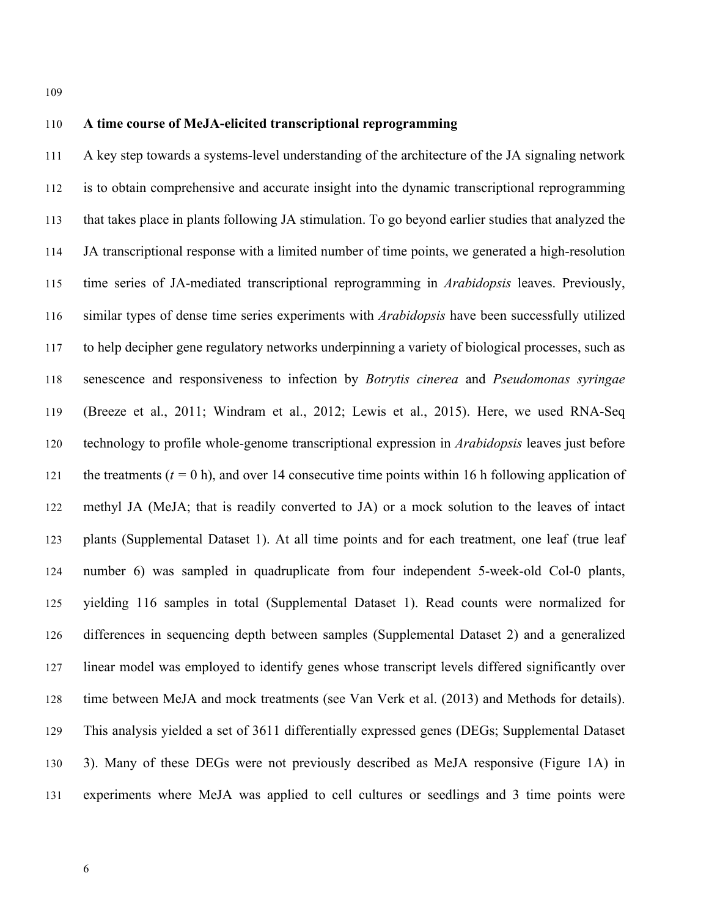# **A time course of MeJA-elicited transcriptional reprogramming**

 A key step towards a systems-level understanding of the architecture of the JA signaling network is to obtain comprehensive and accurate insight into the dynamic transcriptional reprogramming that takes place in plants following JA stimulation. To go beyond earlier studies that analyzed the JA transcriptional response with a limited number of time points, we generated a high-resolution time series of JA-mediated transcriptional reprogramming in *Arabidopsis* leaves. Previously, similar types of dense time series experiments with *Arabidopsis* have been successfully utilized to help decipher gene regulatory networks underpinning a variety of biological processes, such as senescence and responsiveness to infection by *Botrytis cinerea* and *Pseudomonas syringae* (Breeze et al., 2011; Windram et al., 2012; Lewis et al., 2015). Here, we used RNA-Seq technology to profile whole-genome transcriptional expression in *Arabidopsis* leaves just before 121 the treatments  $(t = 0 h)$ , and over 14 consecutive time points within 16 h following application of methyl JA (MeJA; that is readily converted to JA) or a mock solution to the leaves of intact plants (Supplemental Dataset 1). At all time points and for each treatment, one leaf (true leaf number 6) was sampled in quadruplicate from four independent 5-week-old Col-0 plants, yielding 116 samples in total (Supplemental Dataset 1). Read counts were normalized for differences in sequencing depth between samples (Supplemental Dataset 2) and a generalized linear model was employed to identify genes whose transcript levels differed significantly over time between MeJA and mock treatments (see Van Verk et al. (2013) and Methods for details). This analysis yielded a set of 3611 differentially expressed genes (DEGs; Supplemental Dataset 3). Many of these DEGs were not previously described as MeJA responsive (Figure 1A) in experiments where MeJA was applied to cell cultures or seedlings and 3 time points were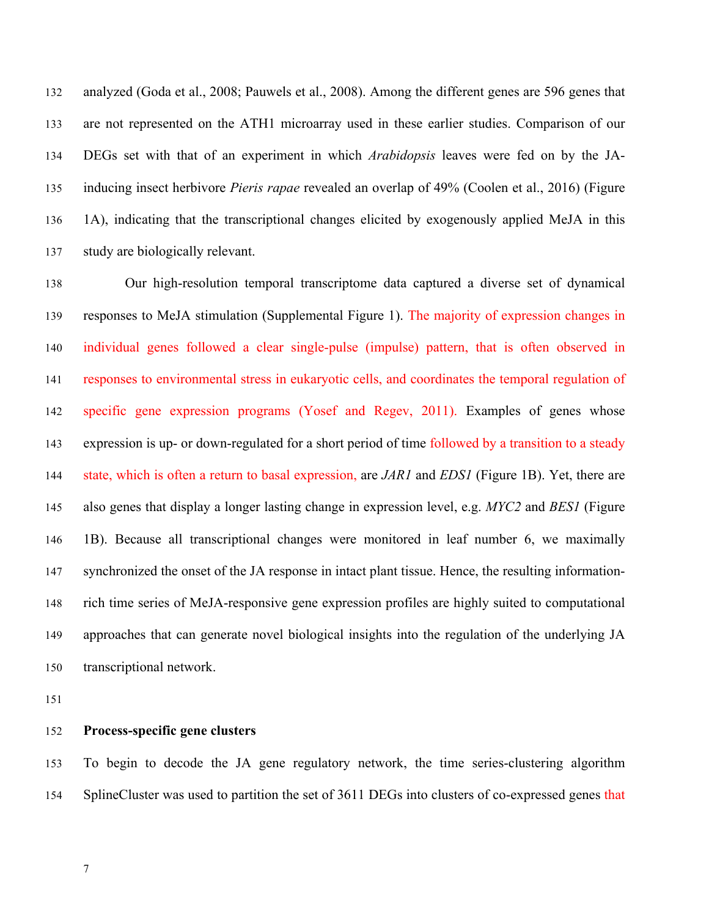analyzed (Goda et al., 2008; Pauwels et al., 2008). Among the different genes are 596 genes that are not represented on the ATH1 microarray used in these earlier studies. Comparison of our DEGs set with that of an experiment in which *Arabidopsis* leaves were fed on by the JA- inducing insect herbivore *Pieris rapae* revealed an overlap of 49% (Coolen et al., 2016) (Figure 1A), indicating that the transcriptional changes elicited by exogenously applied MeJA in this study are biologically relevant.

 Our high-resolution temporal transcriptome data captured a diverse set of dynamical responses to MeJA stimulation (Supplemental Figure 1). The majority of expression changes in individual genes followed a clear single-pulse (impulse) pattern, that is often observed in responses to environmental stress in eukaryotic cells, and coordinates the temporal regulation of specific gene expression programs (Yosef and Regev, 2011). Examples of genes whose expression is up- or down-regulated for a short period of time followed by a transition to a steady state, which is often a return to basal expression, are *JAR1* and *EDS1* (Figure 1B). Yet, there are also genes that display a longer lasting change in expression level, e.g. *MYC2* and *BES1* (Figure 1B). Because all transcriptional changes were monitored in leaf number 6, we maximally synchronized the onset of the JA response in intact plant tissue. Hence, the resulting information- rich time series of MeJA-responsive gene expression profiles are highly suited to computational approaches that can generate novel biological insights into the regulation of the underlying JA transcriptional network.

#### **Process-specific gene clusters**

 To begin to decode the JA gene regulatory network, the time series-clustering algorithm 154 SplineCluster was used to partition the set of 3611 DEGs into clusters of co-expressed genes that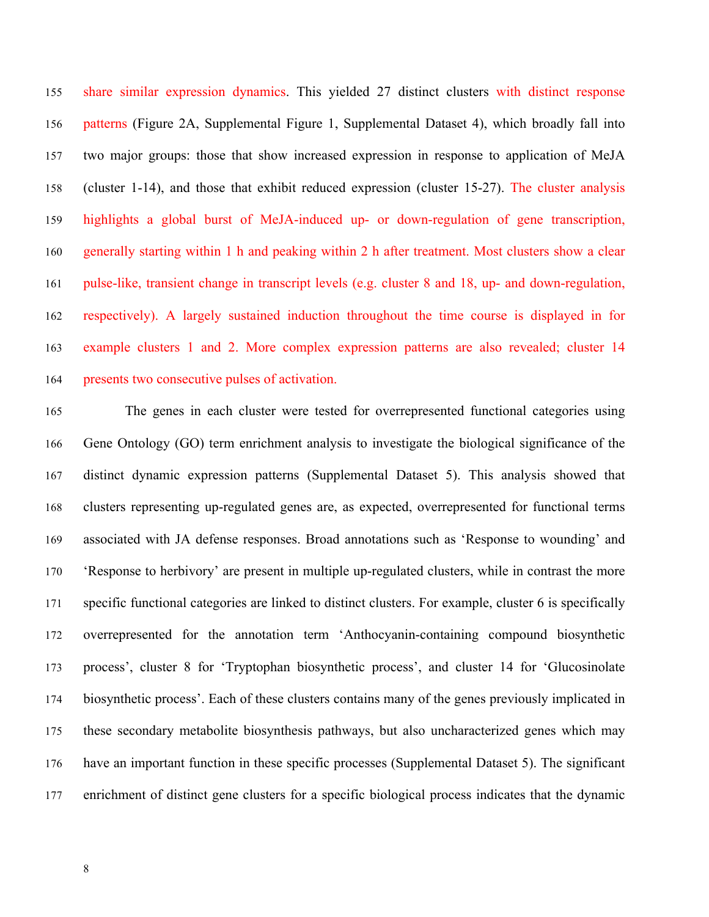share similar expression dynamics. This yielded 27 distinct clusters with distinct response patterns (Figure 2A, Supplemental Figure 1, Supplemental Dataset 4), which broadly fall into two major groups: those that show increased expression in response to application of MeJA (cluster 1-14), and those that exhibit reduced expression (cluster 15-27). The cluster analysis highlights a global burst of MeJA-induced up- or down-regulation of gene transcription, generally starting within 1 h and peaking within 2 h after treatment. Most clusters show a clear pulse-like, transient change in transcript levels (e.g. cluster 8 and 18, up- and down-regulation, respectively). A largely sustained induction throughout the time course is displayed in for example clusters 1 and 2. More complex expression patterns are also revealed; cluster 14 presents two consecutive pulses of activation.

 The genes in each cluster were tested for overrepresented functional categories using Gene Ontology (GO) term enrichment analysis to investigate the biological significance of the distinct dynamic expression patterns (Supplemental Dataset 5). This analysis showed that clusters representing up-regulated genes are, as expected, overrepresented for functional terms associated with JA defense responses. Broad annotations such as 'Response to wounding' and 'Response to herbivory' are present in multiple up-regulated clusters, while in contrast the more specific functional categories are linked to distinct clusters. For example, cluster 6 is specifically overrepresented for the annotation term 'Anthocyanin-containing compound biosynthetic process', cluster 8 for 'Tryptophan biosynthetic process', and cluster 14 for 'Glucosinolate biosynthetic process'. Each of these clusters contains many of the genes previously implicated in these secondary metabolite biosynthesis pathways, but also uncharacterized genes which may have an important function in these specific processes (Supplemental Dataset 5). The significant enrichment of distinct gene clusters for a specific biological process indicates that the dynamic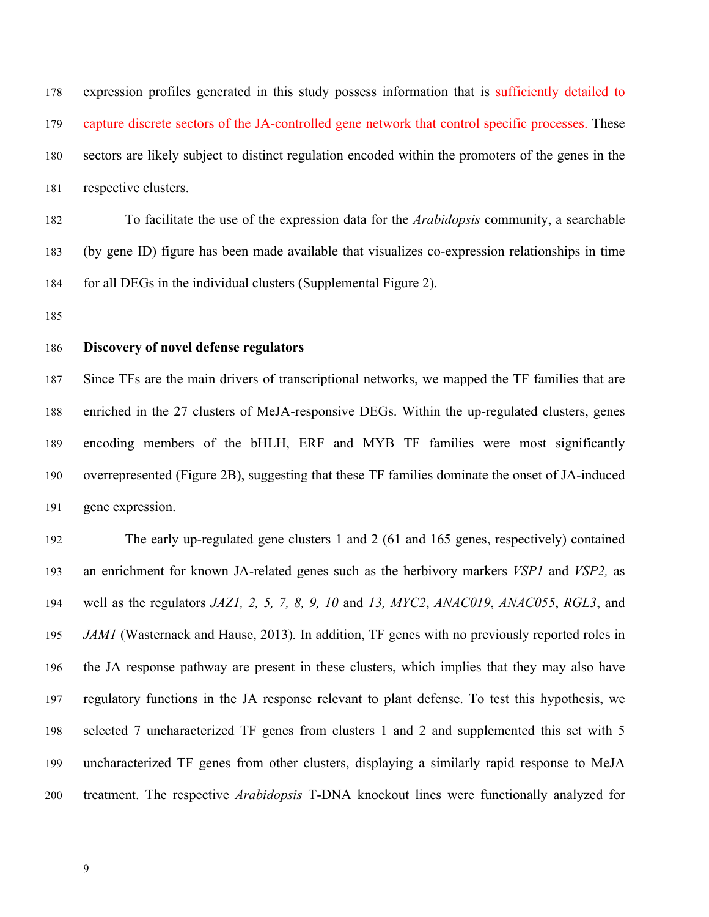expression profiles generated in this study possess information that is sufficiently detailed to capture discrete sectors of the JA-controlled gene network that control specific processes. These sectors are likely subject to distinct regulation encoded within the promoters of the genes in the respective clusters.

 To facilitate the use of the expression data for the *Arabidopsis* community, a searchable (by gene ID) figure has been made available that visualizes co-expression relationships in time for all DEGs in the individual clusters (Supplemental Figure 2).

#### **Discovery of novel defense regulators**

 Since TFs are the main drivers of transcriptional networks, we mapped the TF families that are enriched in the 27 clusters of MeJA-responsive DEGs. Within the up-regulated clusters, genes encoding members of the bHLH, ERF and MYB TF families were most significantly overrepresented (Figure 2B), suggesting that these TF families dominate the onset of JA-induced gene expression.

 The early up-regulated gene clusters 1 and 2 (61 and 165 genes, respectively) contained an enrichment for known JA-related genes such as the herbivory markers *VSP1* and *VSP2,* as well as the regulators *JAZ1, 2, 5, 7, 8, 9, 10* and *13, MYC2*, *ANAC019*, *ANAC055*, *RGL3*, and *JAM1* (Wasternack and Hause, 2013)*.* In addition, TF genes with no previously reported roles in the JA response pathway are present in these clusters, which implies that they may also have regulatory functions in the JA response relevant to plant defense. To test this hypothesis, we selected 7 uncharacterized TF genes from clusters 1 and 2 and supplemented this set with 5 uncharacterized TF genes from other clusters, displaying a similarly rapid response to MeJA treatment. The respective *Arabidopsis* T-DNA knockout lines were functionally analyzed for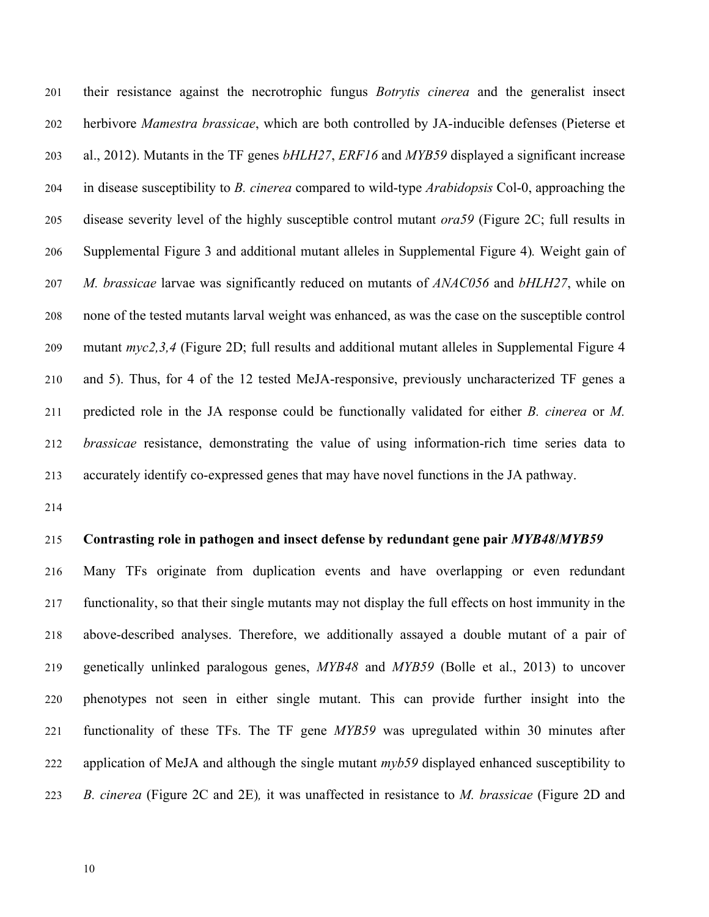their resistance against the necrotrophic fungus *Botrytis cinerea* and the generalist insect herbivore *Mamestra brassicae*, which are both controlled by JA-inducible defenses (Pieterse et al., 2012). Mutants in the TF genes *bHLH27*, *ERF16* and *MYB59* displayed a significant increase in disease susceptibility to *B. cinerea* compared to wild-type *Arabidopsis* Col-0, approaching the disease severity level of the highly susceptible control mutant *ora59* (Figure 2C; full results in Supplemental Figure 3 and additional mutant alleles in Supplemental Figure 4)*.* Weight gain of *M. brassicae* larvae was significantly reduced on mutants of *ANAC056* and *bHLH27*, while on none of the tested mutants larval weight was enhanced, as was the case on the susceptible control mutant *myc2,3,4* (Figure 2D; full results and additional mutant alleles in Supplemental Figure 4 and 5). Thus, for 4 of the 12 tested MeJA-responsive, previously uncharacterized TF genes a predicted role in the JA response could be functionally validated for either *B. cinerea* or *M. brassicae* resistance, demonstrating the value of using information-rich time series data to accurately identify co-expressed genes that may have novel functions in the JA pathway.

#### **Contrasting role in pathogen and insect defense by redundant gene pair** *MYB48***/***MYB59*

 Many TFs originate from duplication events and have overlapping or even redundant functionality, so that their single mutants may not display the full effects on host immunity in the above-described analyses. Therefore, we additionally assayed a double mutant of a pair of genetically unlinked paralogous genes, *MYB48* and *MYB59* (Bolle et al., 2013) to uncover phenotypes not seen in either single mutant. This can provide further insight into the functionality of these TFs. The TF gene *MYB59* was upregulated within 30 minutes after application of MeJA and although the single mutant *myb59* displayed enhanced susceptibility to *B. cinerea* (Figure 2C and 2E)*,* it was unaffected in resistance to *M. brassicae* (Figure 2D and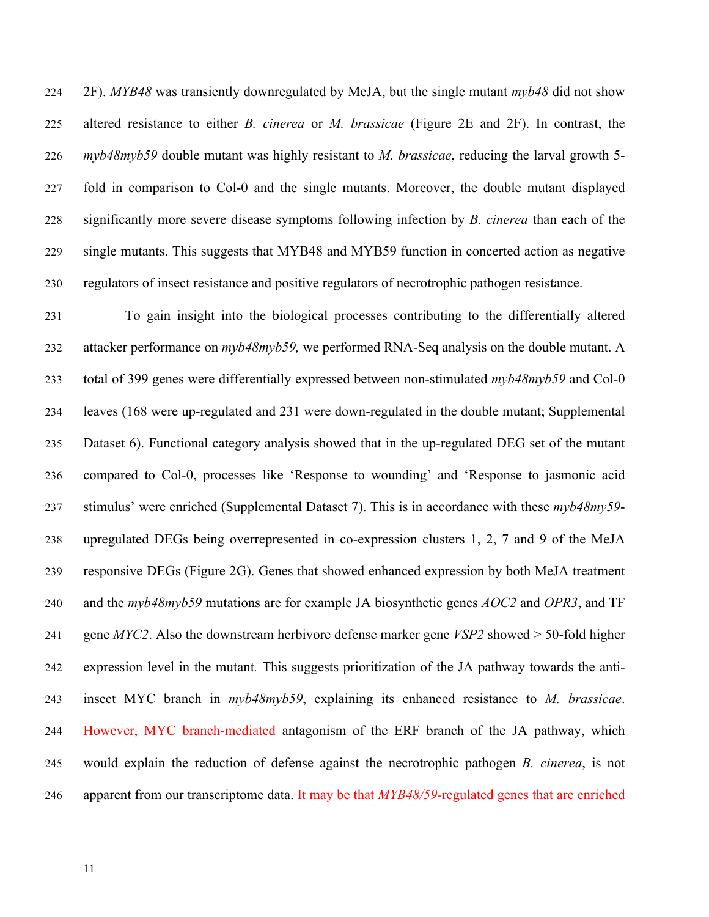2F). *MYB48* was transiently downregulated by MeJA, but the single mutant *myb48* did not show altered resistance to either *B. cinerea* or *M. brassicae* (Figure 2E and 2F). In contrast, the *myb48myb59* double mutant was highly resistant to *M. brassicae*, reducing the larval growth 5- fold in comparison to Col-0 and the single mutants. Moreover, the double mutant displayed significantly more severe disease symptoms following infection by *B. cinerea* than each of the single mutants. This suggests that MYB48 and MYB59 function in concerted action as negative regulators of insect resistance and positive regulators of necrotrophic pathogen resistance.

 To gain insight into the biological processes contributing to the differentially altered attacker performance on *myb48myb59,* we performed RNA-Seq analysis on the double mutant. A total of 399 genes were differentially expressed between non-stimulated *myb48myb59* and Col-0 leaves (168 were up-regulated and 231 were down-regulated in the double mutant; Supplemental Dataset 6). Functional category analysis showed that in the up-regulated DEG set of the mutant compared to Col-0, processes like 'Response to wounding' and 'Response to jasmonic acid stimulus' were enriched (Supplemental Dataset 7). This is in accordance with these *myb48my59*- upregulated DEGs being overrepresented in co-expression clusters 1, 2, 7 and 9 of the MeJA responsive DEGs (Figure 2G). Genes that showed enhanced expression by both MeJA treatment and the *myb48myb59* mutations are for example JA biosynthetic genes *AOC2* and *OPR3*, and TF gene *MYC2*. Also the downstream herbivore defense marker gene *VSP2* showed > 50-fold higher expression level in the mutant*.* This suggests prioritization of the JA pathway towards the anti- insect MYC branch in *myb48myb59*, explaining its enhanced resistance to *M. brassicae*. However, MYC branch-mediated antagonism of the ERF branch of the JA pathway, which would explain the reduction of defense against the necrotrophic pathogen *B. cinerea*, is not apparent from our transcriptome data. It may be that *MYB48/59-*regulated genes that are enriched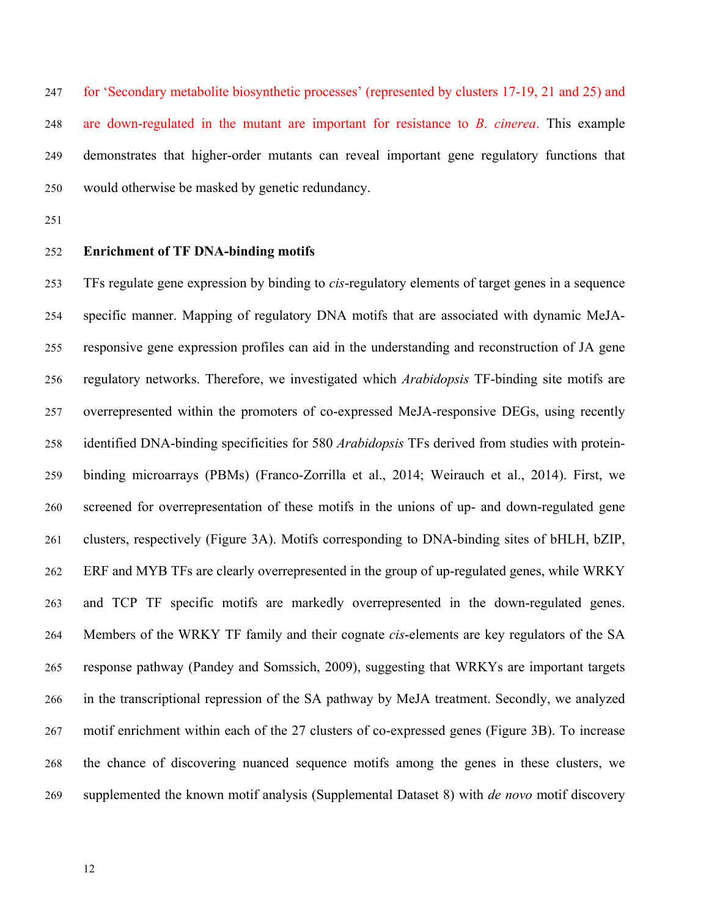for 'Secondary metabolite biosynthetic processes' (represented by clusters 17-19, 21 and 25) and are down-regulated in the mutant are important for resistance to *B*. *cinerea*. This example demonstrates that higher-order mutants can reveal important gene regulatory functions that would otherwise be masked by genetic redundancy.

- 
- **Enrichment of TF DNA-binding motifs**

 TFs regulate gene expression by binding to *cis*-regulatory elements of target genes in a sequence specific manner. Mapping of regulatory DNA motifs that are associated with dynamic MeJA- responsive gene expression profiles can aid in the understanding and reconstruction of JA gene regulatory networks. Therefore, we investigated which *Arabidopsis* TF-binding site motifs are overrepresented within the promoters of co-expressed MeJA-responsive DEGs, using recently identified DNA-binding specificities for 580 *Arabidopsis* TFs derived from studies with protein- binding microarrays (PBMs) (Franco-Zorrilla et al., 2014; Weirauch et al., 2014). First, we screened for overrepresentation of these motifs in the unions of up- and down-regulated gene clusters, respectively (Figure 3A). Motifs corresponding to DNA-binding sites of bHLH, bZIP, ERF and MYB TFs are clearly overrepresented in the group of up-regulated genes, while WRKY and TCP TF specific motifs are markedly overrepresented in the down-regulated genes. Members of the WRKY TF family and their cognate *cis*-elements are key regulators of the SA response pathway (Pandey and Somssich, 2009), suggesting that WRKYs are important targets in the transcriptional repression of the SA pathway by MeJA treatment. Secondly, we analyzed motif enrichment within each of the 27 clusters of co-expressed genes (Figure 3B). To increase the chance of discovering nuanced sequence motifs among the genes in these clusters, we supplemented the known motif analysis (Supplemental Dataset 8) with *de novo* motif discovery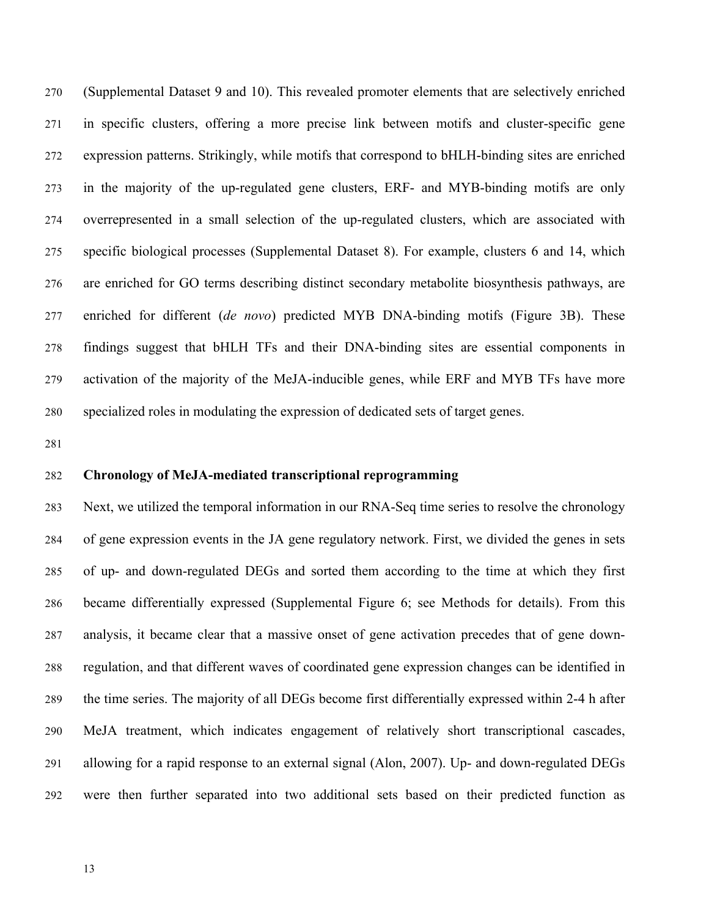(Supplemental Dataset 9 and 10). This revealed promoter elements that are selectively enriched in specific clusters, offering a more precise link between motifs and cluster-specific gene expression patterns. Strikingly, while motifs that correspond to bHLH-binding sites are enriched in the majority of the up-regulated gene clusters, ERF- and MYB-binding motifs are only overrepresented in a small selection of the up-regulated clusters, which are associated with specific biological processes (Supplemental Dataset 8). For example, clusters 6 and 14, which are enriched for GO terms describing distinct secondary metabolite biosynthesis pathways, are enriched for different (*de novo*) predicted MYB DNA-binding motifs (Figure 3B). These findings suggest that bHLH TFs and their DNA-binding sites are essential components in activation of the majority of the MeJA-inducible genes, while ERF and MYB TFs have more specialized roles in modulating the expression of dedicated sets of target genes.

## **Chronology of MeJA-mediated transcriptional reprogramming**

 Next, we utilized the temporal information in our RNA-Seq time series to resolve the chronology of gene expression events in the JA gene regulatory network. First, we divided the genes in sets of up- and down-regulated DEGs and sorted them according to the time at which they first became differentially expressed (Supplemental Figure 6; see Methods for details). From this analysis, it became clear that a massive onset of gene activation precedes that of gene down- regulation, and that different waves of coordinated gene expression changes can be identified in the time series. The majority of all DEGs become first differentially expressed within 2-4 h after MeJA treatment, which indicates engagement of relatively short transcriptional cascades, allowing for a rapid response to an external signal (Alon, 2007). Up- and down-regulated DEGs were then further separated into two additional sets based on their predicted function as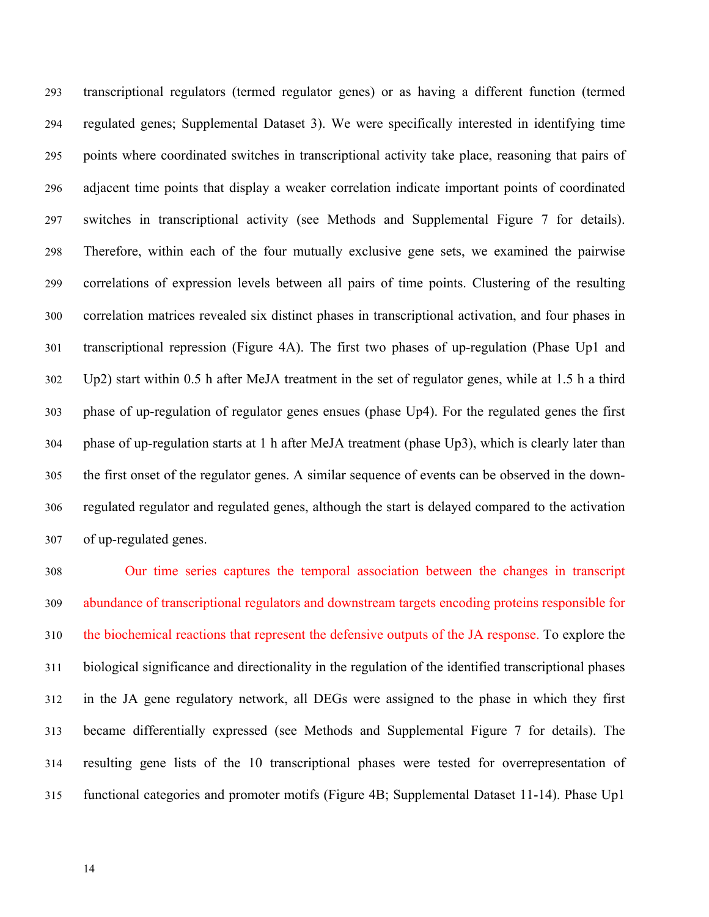transcriptional regulators (termed regulator genes) or as having a different function (termed regulated genes; Supplemental Dataset 3). We were specifically interested in identifying time points where coordinated switches in transcriptional activity take place, reasoning that pairs of adjacent time points that display a weaker correlation indicate important points of coordinated switches in transcriptional activity (see Methods and Supplemental Figure 7 for details). Therefore, within each of the four mutually exclusive gene sets, we examined the pairwise correlations of expression levels between all pairs of time points. Clustering of the resulting correlation matrices revealed six distinct phases in transcriptional activation, and four phases in transcriptional repression (Figure 4A). The first two phases of up-regulation (Phase Up1 and Up2) start within 0.5 h after MeJA treatment in the set of regulator genes, while at 1.5 h a third phase of up-regulation of regulator genes ensues (phase Up4). For the regulated genes the first phase of up-regulation starts at 1 h after MeJA treatment (phase Up3), which is clearly later than the first onset of the regulator genes. A similar sequence of events can be observed in the down- regulated regulator and regulated genes, although the start is delayed compared to the activation of up-regulated genes.

 Our time series captures the temporal association between the changes in transcript abundance of transcriptional regulators and downstream targets encoding proteins responsible for the biochemical reactions that represent the defensive outputs of the JA response. To explore the biological significance and directionality in the regulation of the identified transcriptional phases in the JA gene regulatory network, all DEGs were assigned to the phase in which they first became differentially expressed (see Methods and Supplemental Figure 7 for details). The resulting gene lists of the 10 transcriptional phases were tested for overrepresentation of functional categories and promoter motifs (Figure 4B; Supplemental Dataset 11-14). Phase Up1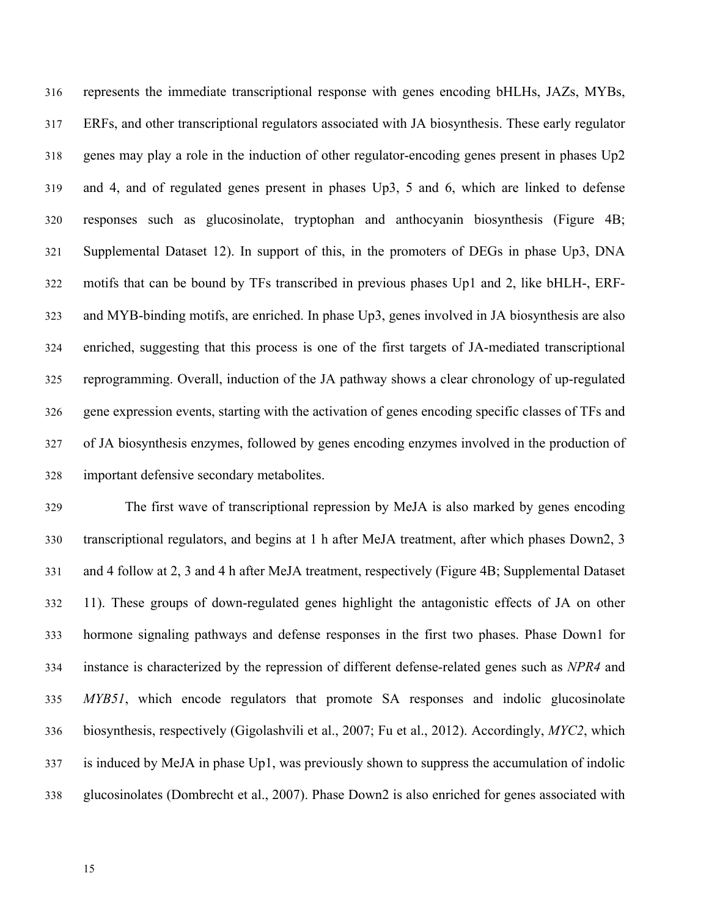represents the immediate transcriptional response with genes encoding bHLHs, JAZs, MYBs, ERFs, and other transcriptional regulators associated with JA biosynthesis. These early regulator genes may play a role in the induction of other regulator-encoding genes present in phases Up2 and 4, and of regulated genes present in phases Up3, 5 and 6, which are linked to defense responses such as glucosinolate, tryptophan and anthocyanin biosynthesis (Figure 4B; Supplemental Dataset 12). In support of this, in the promoters of DEGs in phase Up3, DNA motifs that can be bound by TFs transcribed in previous phases Up1 and 2, like bHLH-, ERF- and MYB-binding motifs, are enriched. In phase Up3, genes involved in JA biosynthesis are also enriched, suggesting that this process is one of the first targets of JA-mediated transcriptional reprogramming. Overall, induction of the JA pathway shows a clear chronology of up-regulated gene expression events, starting with the activation of genes encoding specific classes of TFs and of JA biosynthesis enzymes, followed by genes encoding enzymes involved in the production of important defensive secondary metabolites.

 The first wave of transcriptional repression by MeJA is also marked by genes encoding transcriptional regulators, and begins at 1 h after MeJA treatment, after which phases Down2, 3 and 4 follow at 2, 3 and 4 h after MeJA treatment, respectively (Figure 4B; Supplemental Dataset 11). These groups of down-regulated genes highlight the antagonistic effects of JA on other hormone signaling pathways and defense responses in the first two phases. Phase Down1 for instance is characterized by the repression of different defense-related genes such as *NPR4* and *MYB51*, which encode regulators that promote SA responses and indolic glucosinolate biosynthesis, respectively (Gigolashvili et al., 2007; Fu et al., 2012). Accordingly, *MYC2*, which is induced by MeJA in phase Up1, was previously shown to suppress the accumulation of indolic glucosinolates (Dombrecht et al., 2007). Phase Down2 is also enriched for genes associated with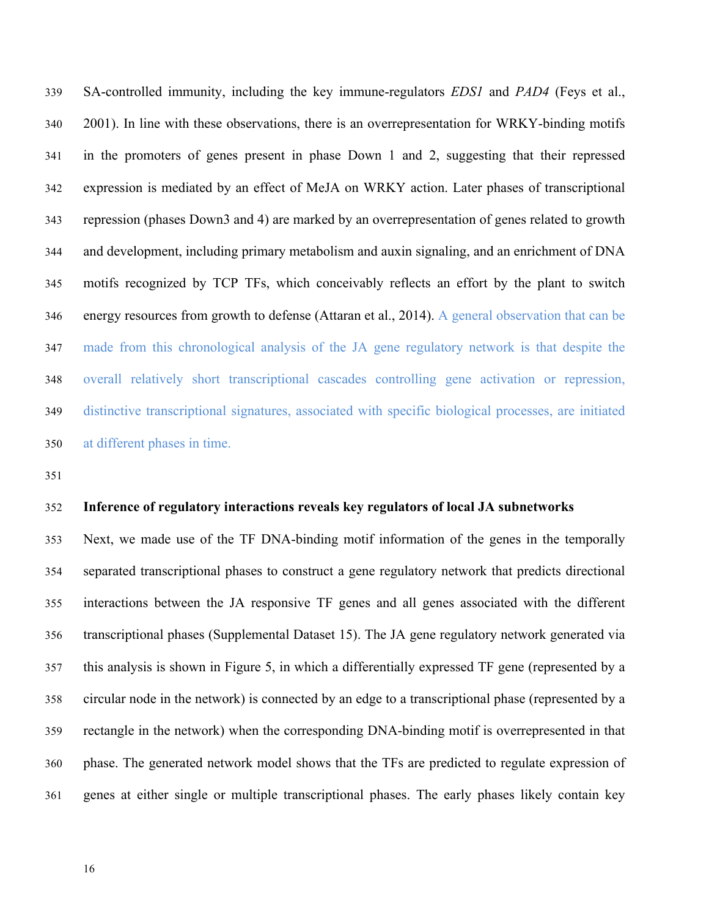SA-controlled immunity, including the key immune-regulators *EDS1* and *PAD4* (Feys et al., 2001). In line with these observations, there is an overrepresentation for WRKY-binding motifs in the promoters of genes present in phase Down 1 and 2, suggesting that their repressed expression is mediated by an effect of MeJA on WRKY action. Later phases of transcriptional repression (phases Down3 and 4) are marked by an overrepresentation of genes related to growth and development, including primary metabolism and auxin signaling, and an enrichment of DNA motifs recognized by TCP TFs, which conceivably reflects an effort by the plant to switch energy resources from growth to defense (Attaran et al., 2014). A general observation that can be made from this chronological analysis of the JA gene regulatory network is that despite the overall relatively short transcriptional cascades controlling gene activation or repression, distinctive transcriptional signatures, associated with specific biological processes, are initiated at different phases in time.

#### **Inference of regulatory interactions reveals key regulators of local JA subnetworks**

 Next, we made use of the TF DNA-binding motif information of the genes in the temporally separated transcriptional phases to construct a gene regulatory network that predicts directional interactions between the JA responsive TF genes and all genes associated with the different transcriptional phases (Supplemental Dataset 15). The JA gene regulatory network generated via this analysis is shown in Figure 5, in which a differentially expressed TF gene (represented by a circular node in the network) is connected by an edge to a transcriptional phase (represented by a rectangle in the network) when the corresponding DNA-binding motif is overrepresented in that phase. The generated network model shows that the TFs are predicted to regulate expression of genes at either single or multiple transcriptional phases. The early phases likely contain key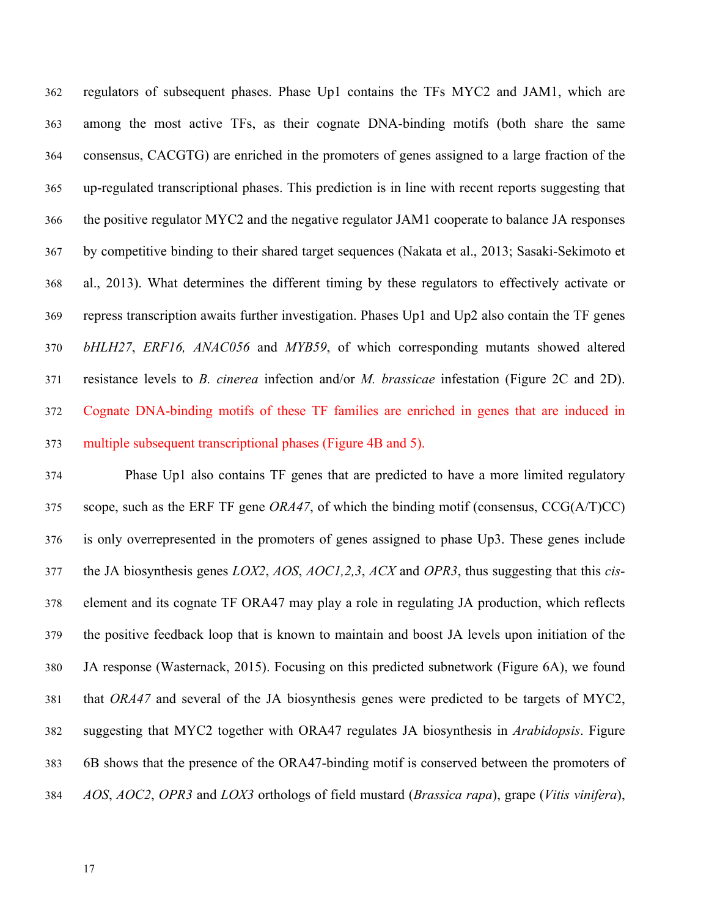regulators of subsequent phases. Phase Up1 contains the TFs MYC2 and JAM1, which are among the most active TFs, as their cognate DNA-binding motifs (both share the same consensus, CACGTG) are enriched in the promoters of genes assigned to a large fraction of the up-regulated transcriptional phases. This prediction is in line with recent reports suggesting that the positive regulator MYC2 and the negative regulator JAM1 cooperate to balance JA responses by competitive binding to their shared target sequences (Nakata et al., 2013; Sasaki-Sekimoto et al., 2013). What determines the different timing by these regulators to effectively activate or repress transcription awaits further investigation. Phases Up1 and Up2 also contain the TF genes *bHLH27*, *ERF16, ANAC056* and *MYB59*, of which corresponding mutants showed altered resistance levels to *B. cinerea* infection and/or *M. brassicae* infestation (Figure 2C and 2D). Cognate DNA-binding motifs of these TF families are enriched in genes that are induced in multiple subsequent transcriptional phases (Figure 4B and 5).

 Phase Up1 also contains TF genes that are predicted to have a more limited regulatory scope, such as the ERF TF gene *ORA47*, of which the binding motif (consensus, CCG(A/T)CC) is only overrepresented in the promoters of genes assigned to phase Up3. These genes include the JA biosynthesis genes *LOX2*, *AOS*, *AOC1,2,3*, *ACX* and *OPR3*, thus suggesting that this *cis*- element and its cognate TF ORA47 may play a role in regulating JA production, which reflects the positive feedback loop that is known to maintain and boost JA levels upon initiation of the JA response (Wasternack, 2015). Focusing on this predicted subnetwork (Figure 6A), we found that *ORA47* and several of the JA biosynthesis genes were predicted to be targets of MYC2, suggesting that MYC2 together with ORA47 regulates JA biosynthesis in *Arabidopsis*. Figure 6B shows that the presence of the ORA47-binding motif is conserved between the promoters of *AOS*, *AOC2*, *OPR3* and *LOX3* orthologs of field mustard (*Brassica rapa*), grape (*Vitis vinifera*),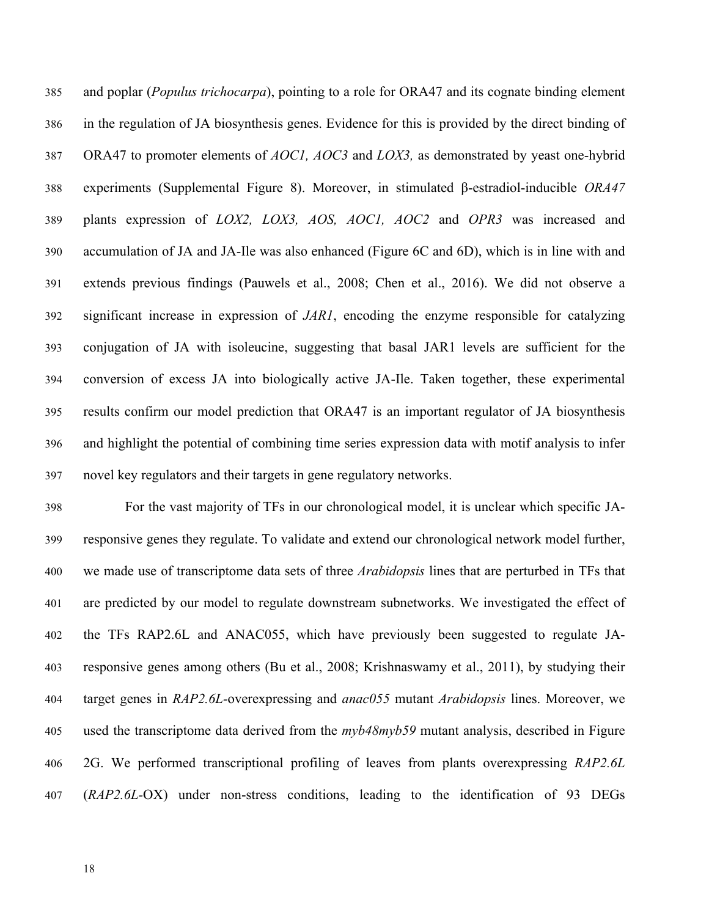and poplar (*Populus trichocarpa*), pointing to a role for ORA47 and its cognate binding element in the regulation of JA biosynthesis genes. Evidence for this is provided by the direct binding of ORA47 to promoter elements of *AOC1, AOC3* and *LOX3,* as demonstrated by yeast one-hybrid experiments (Supplemental Figure 8). Moreover, in stimulated β-estradiol-inducible *ORA47* plants expression of *LOX2, LOX3, AOS, AOC1, AOC2* and *OPR3* was increased and accumulation of JA and JA-Ile was also enhanced (Figure 6C and 6D), which is in line with and extends previous findings (Pauwels et al., 2008; Chen et al., 2016). We did not observe a significant increase in expression of *JAR1*, encoding the enzyme responsible for catalyzing conjugation of JA with isoleucine, suggesting that basal JAR1 levels are sufficient for the conversion of excess JA into biologically active JA-Ile. Taken together, these experimental results confirm our model prediction that ORA47 is an important regulator of JA biosynthesis and highlight the potential of combining time series expression data with motif analysis to infer novel key regulators and their targets in gene regulatory networks.

 For the vast majority of TFs in our chronological model, it is unclear which specific JA- responsive genes they regulate. To validate and extend our chronological network model further, we made use of transcriptome data sets of three *Arabidopsis* lines that are perturbed in TFs that are predicted by our model to regulate downstream subnetworks. We investigated the effect of the TFs RAP2.6L and ANAC055, which have previously been suggested to regulate JA- responsive genes among others (Bu et al., 2008; Krishnaswamy et al., 2011), by studying their target genes in *RAP2.6L-*overexpressing and *anac055* mutant *Arabidopsis* lines. Moreover, we used the transcriptome data derived from the *myb48myb59* mutant analysis, described in Figure 2G. We performed transcriptional profiling of leaves from plants overexpressing *RAP2.6L* (*RAP2.6L-*OX) under non-stress conditions, leading to the identification of 93 DEGs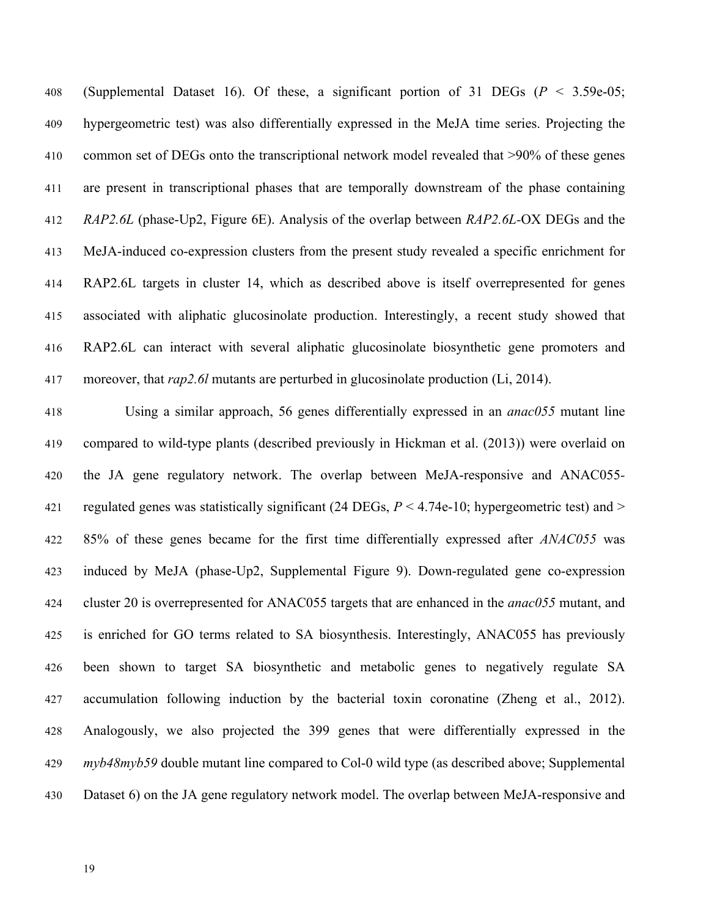(Supplemental Dataset 16). Of these, a significant portion of 31 DEGs (*P* < 3.59e-05; hypergeometric test) was also differentially expressed in the MeJA time series. Projecting the common set of DEGs onto the transcriptional network model revealed that >90% of these genes are present in transcriptional phases that are temporally downstream of the phase containing *RAP2.6L* (phase-Up2, Figure 6E). Analysis of the overlap between *RAP2.6L-*OX DEGs and the MeJA-induced co-expression clusters from the present study revealed a specific enrichment for RAP2.6L targets in cluster 14, which as described above is itself overrepresented for genes associated with aliphatic glucosinolate production. Interestingly, a recent study showed that RAP2.6L can interact with several aliphatic glucosinolate biosynthetic gene promoters and moreover, that *rap2.6l* mutants are perturbed in glucosinolate production (Li, 2014).

 Using a similar approach, 56 genes differentially expressed in an *anac055* mutant line compared to wild-type plants (described previously in Hickman et al. (2013)) were overlaid on the JA gene regulatory network. The overlap between MeJA-responsive and ANAC055*-* regulated genes was statistically significant (24 DEGs, *P* < 4.74e-10; hypergeometric test) and > 85% of these genes became for the first time differentially expressed after *ANAC055* was induced by MeJA (phase-Up2, Supplemental Figure 9). Down-regulated gene co-expression cluster 20 is overrepresented for ANAC055 targets that are enhanced in the *anac055* mutant, and is enriched for GO terms related to SA biosynthesis. Interestingly, ANAC055 has previously been shown to target SA biosynthetic and metabolic genes to negatively regulate SA accumulation following induction by the bacterial toxin coronatine (Zheng et al., 2012). Analogously, we also projected the 399 genes that were differentially expressed in the *myb48myb59* double mutant line compared to Col-0 wild type (as described above; Supplemental Dataset 6) on the JA gene regulatory network model. The overlap between MeJA-responsive and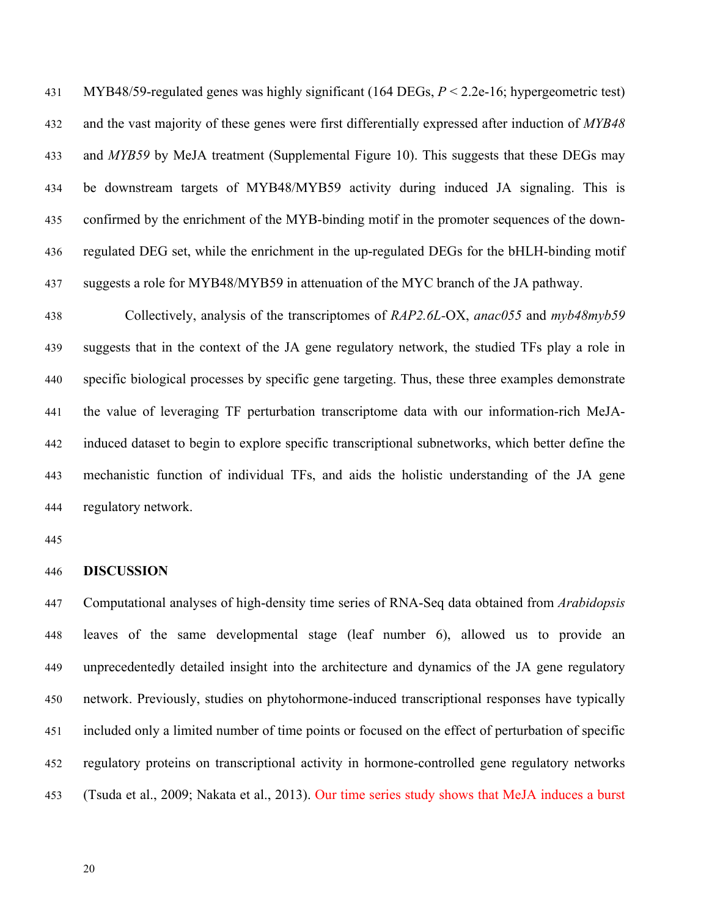MYB48/59-regulated genes was highly significant (164 DEGs, *P* < 2.2e-16; hypergeometric test) and the vast majority of these genes were first differentially expressed after induction of *MYB48* and *MYB59* by MeJA treatment (Supplemental Figure 10). This suggests that these DEGs may be downstream targets of MYB48/MYB59 activity during induced JA signaling. This is confirmed by the enrichment of the MYB-binding motif in the promoter sequences of the down- regulated DEG set, while the enrichment in the up-regulated DEGs for the bHLH-binding motif suggests a role for MYB48/MYB59 in attenuation of the MYC branch of the JA pathway.

 Collectively, analysis of the transcriptomes of *RAP2.6L-*OX, *anac055* and *myb48myb59* suggests that in the context of the JA gene regulatory network, the studied TFs play a role in specific biological processes by specific gene targeting. Thus, these three examples demonstrate the value of leveraging TF perturbation transcriptome data with our information-rich MeJA- induced dataset to begin to explore specific transcriptional subnetworks, which better define the mechanistic function of individual TFs, and aids the holistic understanding of the JA gene regulatory network.

#### **DISCUSSION**

 Computational analyses of high-density time series of RNA-Seq data obtained from *Arabidopsis* leaves of the same developmental stage (leaf number 6), allowed us to provide an unprecedentedly detailed insight into the architecture and dynamics of the JA gene regulatory network. Previously, studies on phytohormone-induced transcriptional responses have typically included only a limited number of time points or focused on the effect of perturbation of specific regulatory proteins on transcriptional activity in hormone-controlled gene regulatory networks (Tsuda et al., 2009; Nakata et al., 2013). Our time series study shows that MeJA induces a burst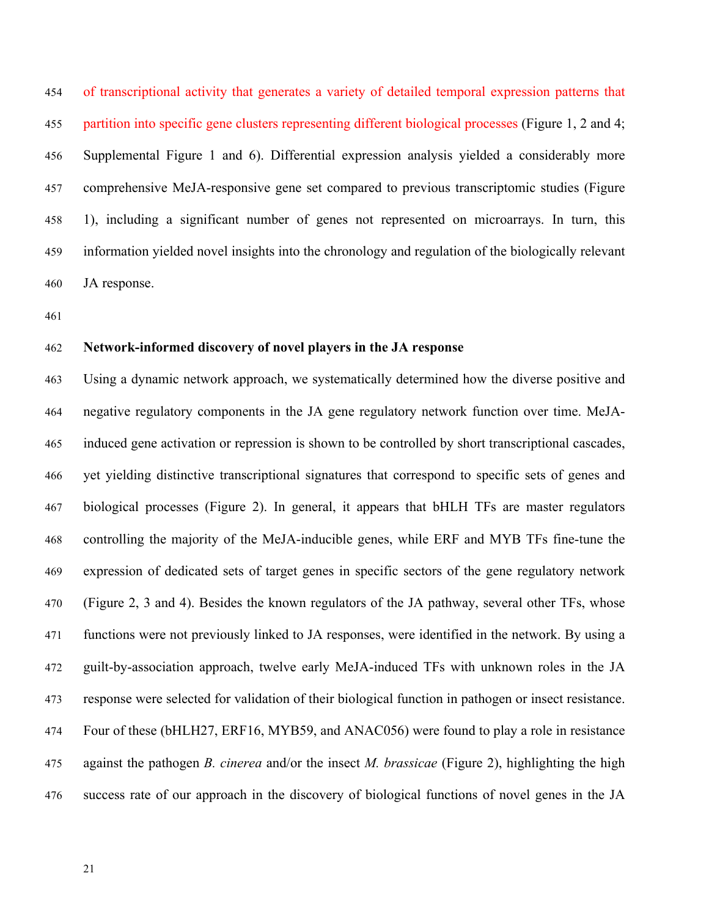of transcriptional activity that generates a variety of detailed temporal expression patterns that partition into specific gene clusters representing different biological processes (Figure 1, 2 and 4; Supplemental Figure 1 and 6). Differential expression analysis yielded a considerably more comprehensive MeJA-responsive gene set compared to previous transcriptomic studies (Figure 1), including a significant number of genes not represented on microarrays. In turn, this information yielded novel insights into the chronology and regulation of the biologically relevant JA response.

### **Network-informed discovery of novel players in the JA response**

 Using a dynamic network approach, we systematically determined how the diverse positive and negative regulatory components in the JA gene regulatory network function over time. MeJA- induced gene activation or repression is shown to be controlled by short transcriptional cascades, yet yielding distinctive transcriptional signatures that correspond to specific sets of genes and biological processes (Figure 2). In general, it appears that bHLH TFs are master regulators controlling the majority of the MeJA-inducible genes, while ERF and MYB TFs fine-tune the expression of dedicated sets of target genes in specific sectors of the gene regulatory network (Figure 2, 3 and 4). Besides the known regulators of the JA pathway, several other TFs, whose functions were not previously linked to JA responses, were identified in the network. By using a guilt-by-association approach, twelve early MeJA-induced TFs with unknown roles in the JA response were selected for validation of their biological function in pathogen or insect resistance. Four of these (bHLH27, ERF16, MYB59, and ANAC056) were found to play a role in resistance against the pathogen *B. cinerea* and/or the insect *M. brassicae* (Figure 2), highlighting the high success rate of our approach in the discovery of biological functions of novel genes in the JA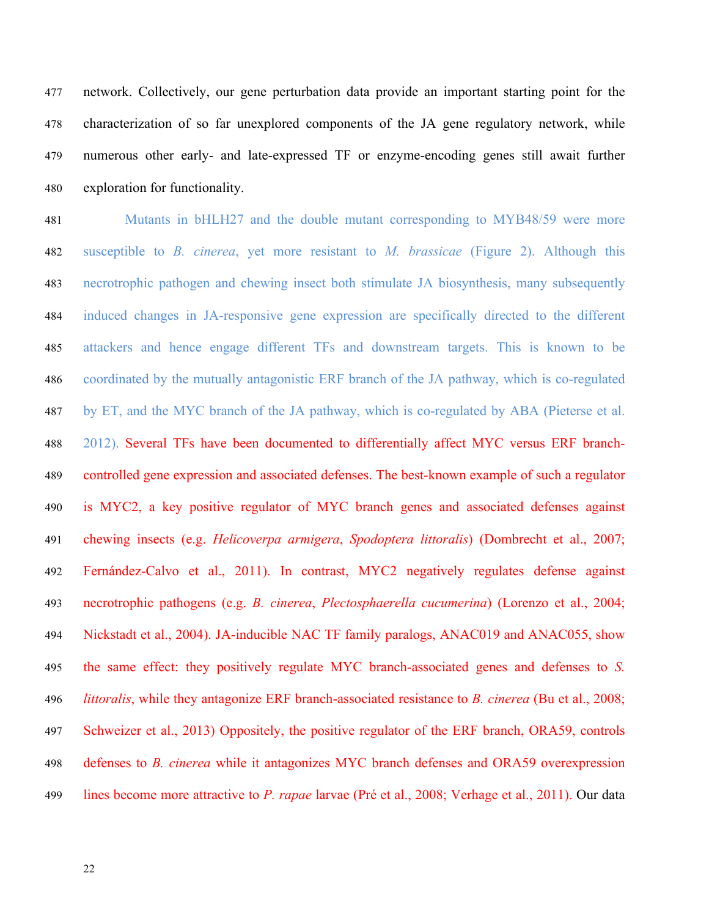network. Collectively, our gene perturbation data provide an important starting point for the characterization of so far unexplored components of the JA gene regulatory network, while numerous other early- and late-expressed TF or enzyme-encoding genes still await further exploration for functionality.

 Mutants in bHLH27 and the double mutant corresponding to MYB48/59 were more susceptible to *B. cinerea*, yet more resistant to *M. brassicae* (Figure 2). Although this necrotrophic pathogen and chewing insect both stimulate JA biosynthesis, many subsequently induced changes in JA-responsive gene expression are specifically directed to the different attackers and hence engage different TFs and downstream targets. This is known to be coordinated by the mutually antagonistic ERF branch of the JA pathway, which is co-regulated by ET, and the MYC branch of the JA pathway, which is co-regulated by ABA (Pieterse et al. 2012). Several TFs have been documented to differentially affect MYC versus ERF branch- controlled gene expression and associated defenses. The best-known example of such a regulator is MYC2, a key positive regulator of MYC branch genes and associated defenses against chewing insects (e.g. *Helicoverpa armigera*, *Spodoptera littoralis*) (Dombrecht et al., 2007; Fernández-Calvo et al., 2011). In contrast, MYC2 negatively regulates defense against necrotrophic pathogens (e.g. *B. cinerea*, *Plectosphaerella cucumerina*) (Lorenzo et al., 2004; Nickstadt et al., 2004). JA-inducible NAC TF family paralogs, ANAC019 and ANAC055, show the same effect: they positively regulate MYC branch-associated genes and defenses to *S. littoralis*, while they antagonize ERF branch-associated resistance to *B. cinerea* (Bu et al., 2008; Schweizer et al., 2013) Oppositely, the positive regulator of the ERF branch, ORA59, controls defenses to *B. cinerea* while it antagonizes MYC branch defenses and ORA59 overexpression lines become more attractive to *P. rapae* larvae (Pré et al., 2008; Verhage et al., 2011). Our data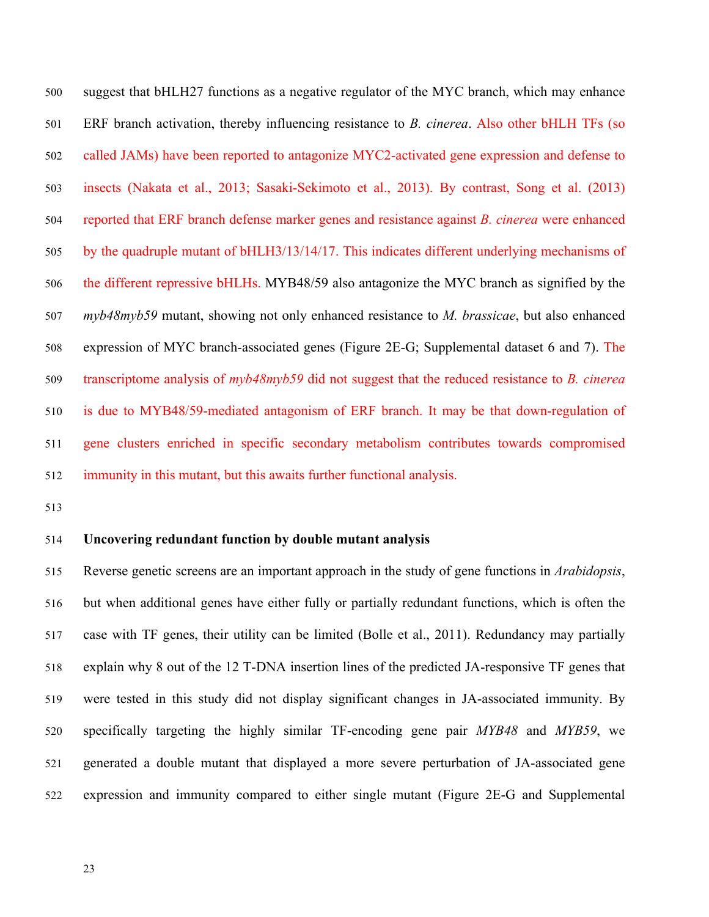suggest that bHLH27 functions as a negative regulator of the MYC branch, which may enhance ERF branch activation, thereby influencing resistance to *B. cinerea*. Also other bHLH TFs (so called JAMs) have been reported to antagonize MYC2-activated gene expression and defense to insects (Nakata et al., 2013; Sasaki-Sekimoto et al., 2013). By contrast, Song et al. (2013) reported that ERF branch defense marker genes and resistance against *B. cinerea* were enhanced by the quadruple mutant of bHLH3/13/14/17. This indicates different underlying mechanisms of the different repressive bHLHs. MYB48/59 also antagonize the MYC branch as signified by the *myb48myb59* mutant, showing not only enhanced resistance to *M. brassicae*, but also enhanced expression of MYC branch-associated genes (Figure 2E-G; Supplemental dataset 6 and 7). The transcriptome analysis of *myb48myb59* did not suggest that the reduced resistance to *B. cinerea* is due to MYB48/59-mediated antagonism of ERF branch. It may be that down-regulation of gene clusters enriched in specific secondary metabolism contributes towards compromised immunity in this mutant, but this awaits further functional analysis.

## **Uncovering redundant function by double mutant analysis**

 Reverse genetic screens are an important approach in the study of gene functions in *Arabidopsis*, but when additional genes have either fully or partially redundant functions, which is often the case with TF genes, their utility can be limited (Bolle et al., 2011). Redundancy may partially explain why 8 out of the 12 T-DNA insertion lines of the predicted JA-responsive TF genes that were tested in this study did not display significant changes in JA-associated immunity. By specifically targeting the highly similar TF-encoding gene pair *MYB48* and *MYB59*, we generated a double mutant that displayed a more severe perturbation of JA-associated gene expression and immunity compared to either single mutant (Figure 2E-G and Supplemental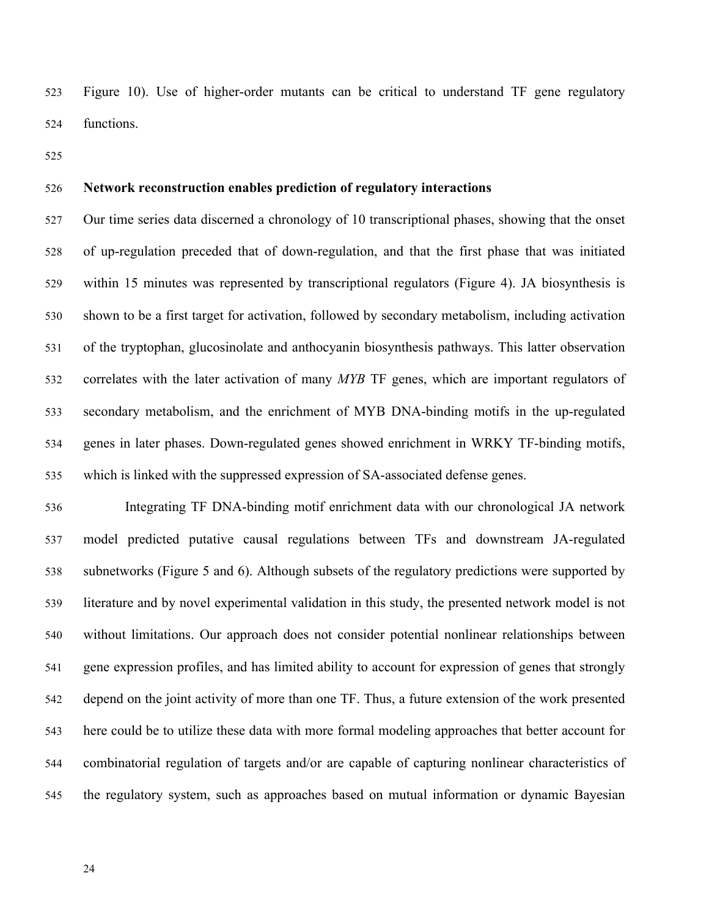Figure 10). Use of higher-order mutants can be critical to understand TF gene regulatory functions.

## **Network reconstruction enables prediction of regulatory interactions**

 Our time series data discerned a chronology of 10 transcriptional phases, showing that the onset of up-regulation preceded that of down-regulation, and that the first phase that was initiated within 15 minutes was represented by transcriptional regulators (Figure 4). JA biosynthesis is shown to be a first target for activation, followed by secondary metabolism, including activation of the tryptophan, glucosinolate and anthocyanin biosynthesis pathways. This latter observation correlates with the later activation of many *MYB* TF genes, which are important regulators of secondary metabolism, and the enrichment of MYB DNA-binding motifs in the up-regulated genes in later phases. Down-regulated genes showed enrichment in WRKY TF-binding motifs, which is linked with the suppressed expression of SA-associated defense genes.

 Integrating TF DNA-binding motif enrichment data with our chronological JA network model predicted putative causal regulations between TFs and downstream JA-regulated subnetworks (Figure 5 and 6). Although subsets of the regulatory predictions were supported by literature and by novel experimental validation in this study, the presented network model is not without limitations. Our approach does not consider potential nonlinear relationships between gene expression profiles, and has limited ability to account for expression of genes that strongly depend on the joint activity of more than one TF. Thus, a future extension of the work presented here could be to utilize these data with more formal modeling approaches that better account for combinatorial regulation of targets and/or are capable of capturing nonlinear characteristics of the regulatory system, such as approaches based on mutual information or dynamic Bayesian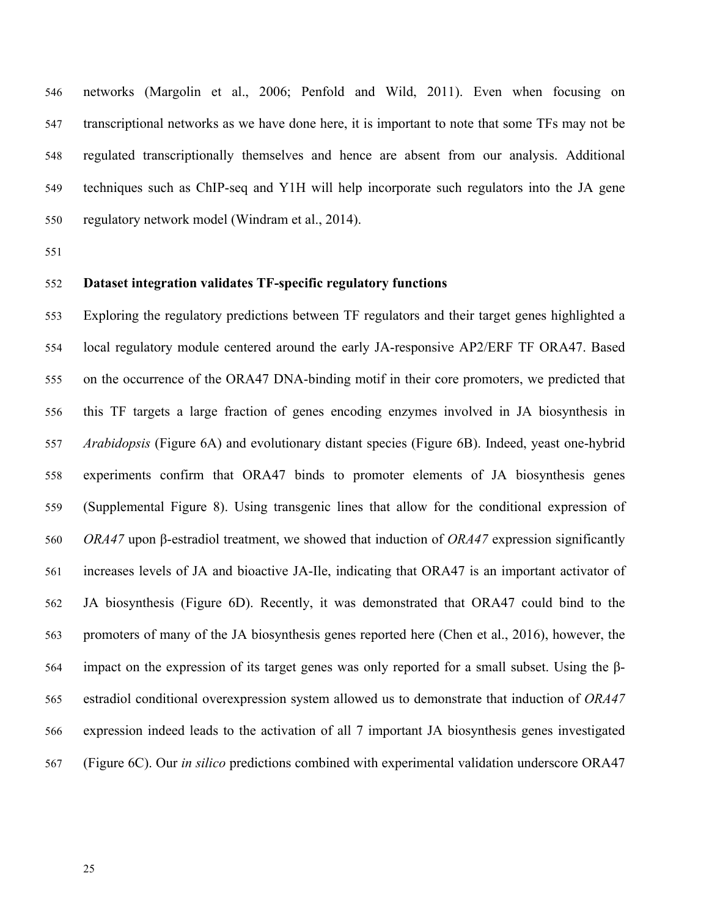networks (Margolin et al., 2006; Penfold and Wild, 2011). Even when focusing on transcriptional networks as we have done here, it is important to note that some TFs may not be regulated transcriptionally themselves and hence are absent from our analysis. Additional techniques such as ChIP-seq and Y1H will help incorporate such regulators into the JA gene regulatory network model (Windram et al., 2014).

# **Dataset integration validates TF-specific regulatory functions**

 Exploring the regulatory predictions between TF regulators and their target genes highlighted a local regulatory module centered around the early JA-responsive AP2/ERF TF ORA47. Based on the occurrence of the ORA47 DNA-binding motif in their core promoters, we predicted that this TF targets a large fraction of genes encoding enzymes involved in JA biosynthesis in *Arabidopsis* (Figure 6A) and evolutionary distant species (Figure 6B). Indeed, yeast one-hybrid experiments confirm that ORA47 binds to promoter elements of JA biosynthesis genes (Supplemental Figure 8). Using transgenic lines that allow for the conditional expression of *ORA47* upon β-estradiol treatment, we showed that induction of *ORA47* expression significantly increases levels of JA and bioactive JA-Ile, indicating that ORA47 is an important activator of JA biosynthesis (Figure 6D). Recently, it was demonstrated that ORA47 could bind to the promoters of many of the JA biosynthesis genes reported here (Chen et al., 2016), however, the impact on the expression of its target genes was only reported for a small subset. Using the β- estradiol conditional overexpression system allowed us to demonstrate that induction of *ORA47* expression indeed leads to the activation of all 7 important JA biosynthesis genes investigated (Figure 6C). Our *in silico* predictions combined with experimental validation underscore ORA47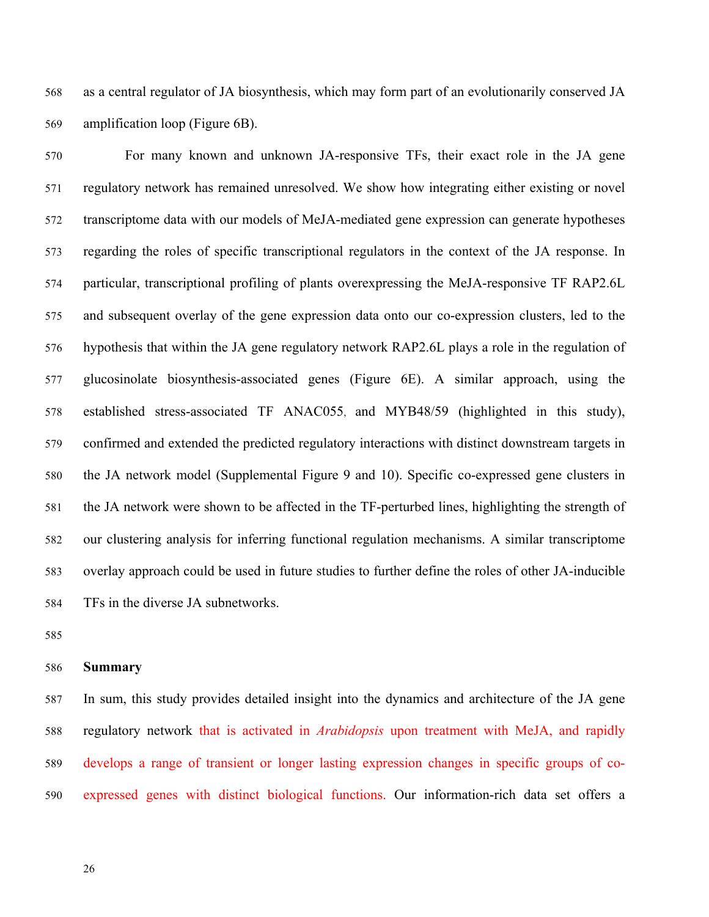as a central regulator of JA biosynthesis, which may form part of an evolutionarily conserved JA amplification loop (Figure 6B).

 For many known and unknown JA-responsive TFs, their exact role in the JA gene regulatory network has remained unresolved. We show how integrating either existing or novel transcriptome data with our models of MeJA-mediated gene expression can generate hypotheses regarding the roles of specific transcriptional regulators in the context of the JA response. In particular, transcriptional profiling of plants overexpressing the MeJA-responsive TF RAP2.6L and subsequent overlay of the gene expression data onto our co-expression clusters, led to the hypothesis that within the JA gene regulatory network RAP2.6L plays a role in the regulation of glucosinolate biosynthesis-associated genes (Figure 6E). A similar approach, using the established stress-associated TF ANAC055, and MYB48/59 (highlighted in this study), confirmed and extended the predicted regulatory interactions with distinct downstream targets in the JA network model (Supplemental Figure 9 and 10). Specific co-expressed gene clusters in the JA network were shown to be affected in the TF-perturbed lines, highlighting the strength of our clustering analysis for inferring functional regulation mechanisms. A similar transcriptome overlay approach could be used in future studies to further define the roles of other JA-inducible TFs in the diverse JA subnetworks.

### **Summary**

 In sum, this study provides detailed insight into the dynamics and architecture of the JA gene regulatory network that is activated in *Arabidopsis* upon treatment with MeJA, and rapidly develops a range of transient or longer lasting expression changes in specific groups of co-expressed genes with distinct biological functions. Our information-rich data set offers a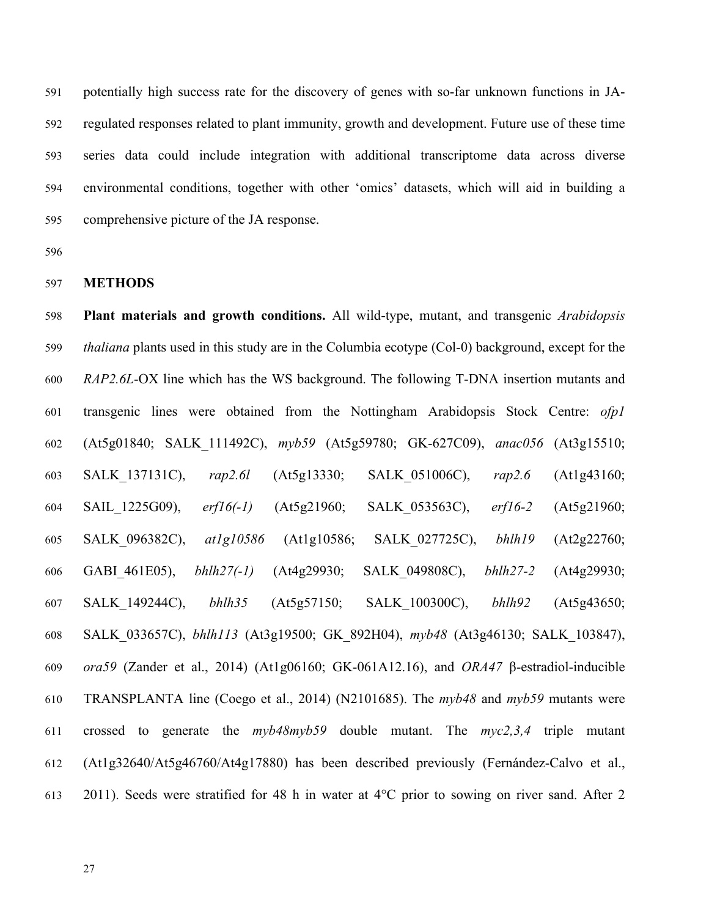potentially high success rate for the discovery of genes with so-far unknown functions in JA- regulated responses related to plant immunity, growth and development. Future use of these time series data could include integration with additional transcriptome data across diverse environmental conditions, together with other 'omics' datasets, which will aid in building a comprehensive picture of the JA response.

## **METHODS**

 **Plant materials and growth conditions.** All wild-type, mutant, and transgenic *Arabidopsis thaliana* plants used in this study are in the Columbia ecotype (Col-0) background, except for the *RAP2.6L*-OX line which has the WS background. The following T-DNA insertion mutants and transgenic lines were obtained from the Nottingham Arabidopsis Stock Centre: *ofp1* (At5g01840; SALK\_111492C), *myb59* (At5g59780; GK-627C09), *anac056* (At3g15510; SALK\_137131C), *rap2.6l* (At5g13330; SALK\_051006C), *rap2.6* (At1g43160; SAIL\_1225G09), *erf16(-1)* (At5g21960; SALK\_053563C), *erf16-2* (At5g21960; SALK\_096382C), *at1g10586* (At1g10586; SALK\_027725C), *bhlh19* (At2g22760; GABI\_461E05), *bhlh27(-1)* (At4g29930; SALK\_049808C), *bhlh27-2* (At4g29930; SALK\_149244C), *bhlh35* (At5g57150; SALK\_100300C), *bhlh92* (At5g43650; SALK\_033657C), *bhlh113* (At3g19500; GK\_892H04), *myb48* (At3g46130; SALK\_103847), *ora59* (Zander et al., 2014) (At1g06160; GK-061A12.16), and *ORA47* β-estradiol-inducible TRANSPLANTA line (Coego et al., 2014) (N2101685). The *myb48* and *myb59* mutants were crossed to generate the *myb48myb59* double mutant. The *myc2,3,4* triple mutant (At1g32640/At5g46760/At4g17880) has been described previously (Fernández-Calvo et al., 2011). Seeds were stratified for 48 h in water at 4°C prior to sowing on river sand. After 2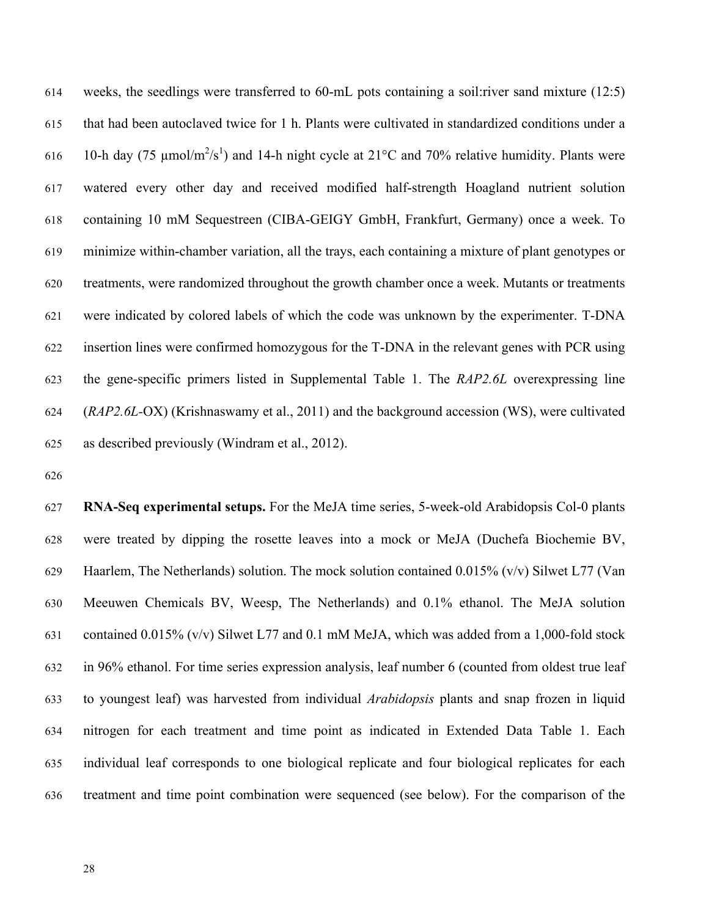weeks, the seedlings were transferred to 60-mL pots containing a soil:river sand mixture (12:5) that had been autoclaved twice for 1 h. Plants were cultivated in standardized conditions under a 616 10-h day (75  $\mu$ mol/m<sup>2</sup>/s<sup>1</sup>) and 14-h night cycle at 21°C and 70% relative humidity. Plants were watered every other day and received modified half-strength Hoagland nutrient solution containing 10 mM Sequestreen (CIBA-GEIGY GmbH, Frankfurt, Germany) once a week. To minimize within-chamber variation, all the trays, each containing a mixture of plant genotypes or treatments, were randomized throughout the growth chamber once a week. Mutants or treatments were indicated by colored labels of which the code was unknown by the experimenter. T-DNA insertion lines were confirmed homozygous for the T-DNA in the relevant genes with PCR using the gene-specific primers listed in Supplemental Table 1. The *RAP2.6L* overexpressing line (*RAP2.6L-*OX) (Krishnaswamy et al., 2011) and the background accession (WS), were cultivated as described previously (Windram et al., 2012).

 **RNA-Seq experimental setups.** For the MeJA time series, 5-week-old Arabidopsis Col-0 plants were treated by dipping the rosette leaves into a mock or MeJA (Duchefa Biochemie BV, Haarlem, The Netherlands) solution. The mock solution contained 0.015% (v/v) Silwet L77 (Van Meeuwen Chemicals BV, Weesp, The Netherlands) and 0.1% ethanol. The MeJA solution contained 0.015% (v/v) Silwet L77 and 0.1 mM MeJA, which was added from a 1,000-fold stock in 96% ethanol. For time series expression analysis, leaf number 6 (counted from oldest true leaf to youngest leaf) was harvested from individual *Arabidopsis* plants and snap frozen in liquid nitrogen for each treatment and time point as indicated in Extended Data Table 1. Each individual leaf corresponds to one biological replicate and four biological replicates for each treatment and time point combination were sequenced (see below). For the comparison of the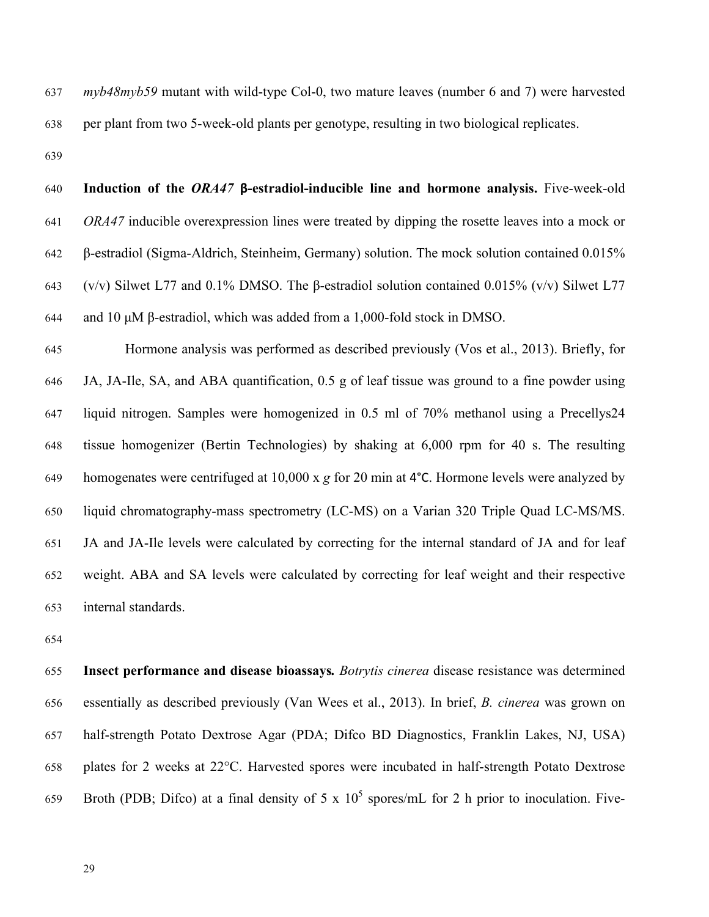*myb48myb59* mutant with wild-type Col-0, two mature leaves (number 6 and 7) were harvested per plant from two 5-week-old plants per genotype, resulting in two biological replicates.

 **Induction of the** *ORA47* **β-estradiol-inducible line and hormone analysis.** Five-week-old *ORA47* inducible overexpression lines were treated by dipping the rosette leaves into a mock or β-estradiol (Sigma-Aldrich, Steinheim, Germany) solution. The mock solution contained 0.015% 643 (v/v) Silwet L77 and 0.1% DMSO. The β-estradiol solution contained 0.015% (v/v) Silwet L77 644 and 10  $\mu$ M  $\beta$ -estradiol, which was added from a 1,000-fold stock in DMSO.

 Hormone analysis was performed as described previously (Vos et al., 2013). Briefly, for JA, JA-Ile, SA, and ABA quantification, 0.5 g of leaf tissue was ground to a fine powder using liquid nitrogen. Samples were homogenized in 0.5 ml of 70% methanol using a Precellys24 tissue homogenizer (Bertin Technologies) by shaking at 6,000 rpm for 40 s. The resulting homogenates were centrifuged at 10,000 x *g* for 20 min at 4°C. Hormone levels were analyzed by liquid chromatography-mass spectrometry (LC-MS) on a Varian 320 Triple Quad LC-MS/MS. JA and JA-Ile levels were calculated by correcting for the internal standard of JA and for leaf weight. ABA and SA levels were calculated by correcting for leaf weight and their respective internal standards.

 **Insect performance and disease bioassays***. Botrytis cinerea* disease resistance was determined essentially as described previously (Van Wees et al., 2013). In brief, *B. cinerea* was grown on half-strength Potato Dextrose Agar (PDA; Difco BD Diagnostics, Franklin Lakes, NJ, USA) plates for 2 weeks at 22°C. Harvested spores were incubated in half-strength Potato Dextrose 659 Broth (PDB; Difco) at a final density of 5 x  $10^5$  spores/mL for 2 h prior to inoculation. Five-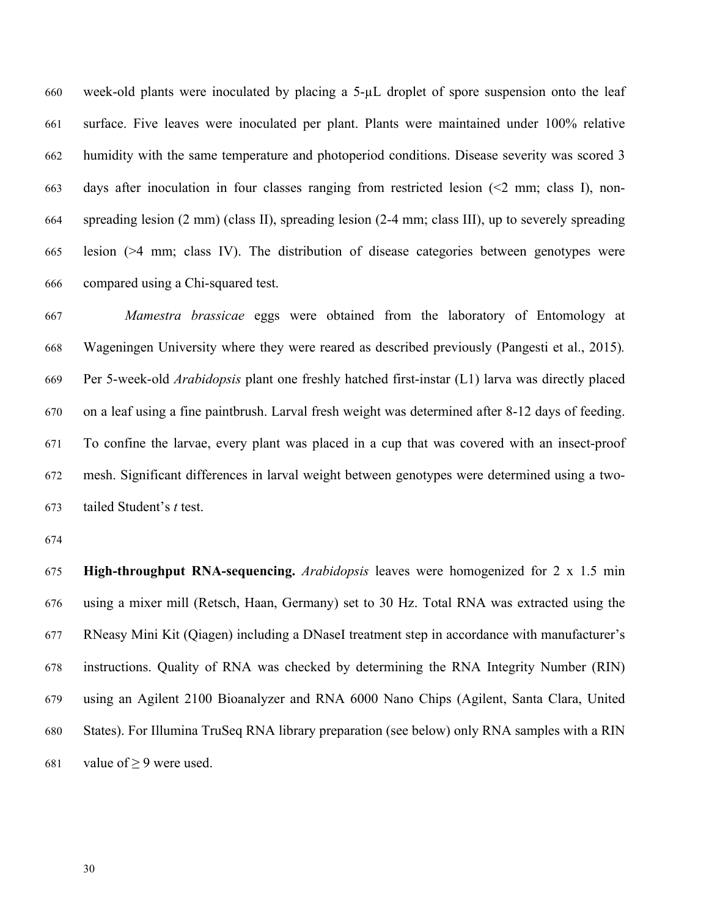660 week-old plants were inoculated by placing a  $5-\mu L$  droplet of spore suspension onto the leaf surface. Five leaves were inoculated per plant. Plants were maintained under 100% relative humidity with the same temperature and photoperiod conditions. Disease severity was scored 3 days after inoculation in four classes ranging from restricted lesion (<2 mm; class I), non- spreading lesion (2 mm) (class II), spreading lesion (2-4 mm; class III), up to severely spreading lesion (>4 mm; class IV). The distribution of disease categories between genotypes were compared using a Chi-squared test.

 *Mamestra brassicae* eggs were obtained from the laboratory of Entomology at Wageningen University where they were reared as described previously (Pangesti et al., 2015)*.* Per 5-week-old *Arabidopsis* plant one freshly hatched first-instar (L1) larva was directly placed on a leaf using a fine paintbrush. Larval fresh weight was determined after 8-12 days of feeding. To confine the larvae, every plant was placed in a cup that was covered with an insect-proof mesh. Significant differences in larval weight between genotypes were determined using a two-tailed Student's *t* test.

 **High-throughput RNA-sequencing.** *Arabidopsis* leaves were homogenized for 2 x 1.5 min using a mixer mill (Retsch, Haan, Germany) set to 30 Hz. Total RNA was extracted using the RNeasy Mini Kit (Qiagen) including a DNaseI treatment step in accordance with manufacturer's instructions. Quality of RNA was checked by determining the RNA Integrity Number (RIN) using an Agilent 2100 Bioanalyzer and RNA 6000 Nano Chips (Agilent, Santa Clara, United States). For Illumina TruSeq RNA library preparation (see below) only RNA samples with a RIN 681 value of  $\geq$  9 were used.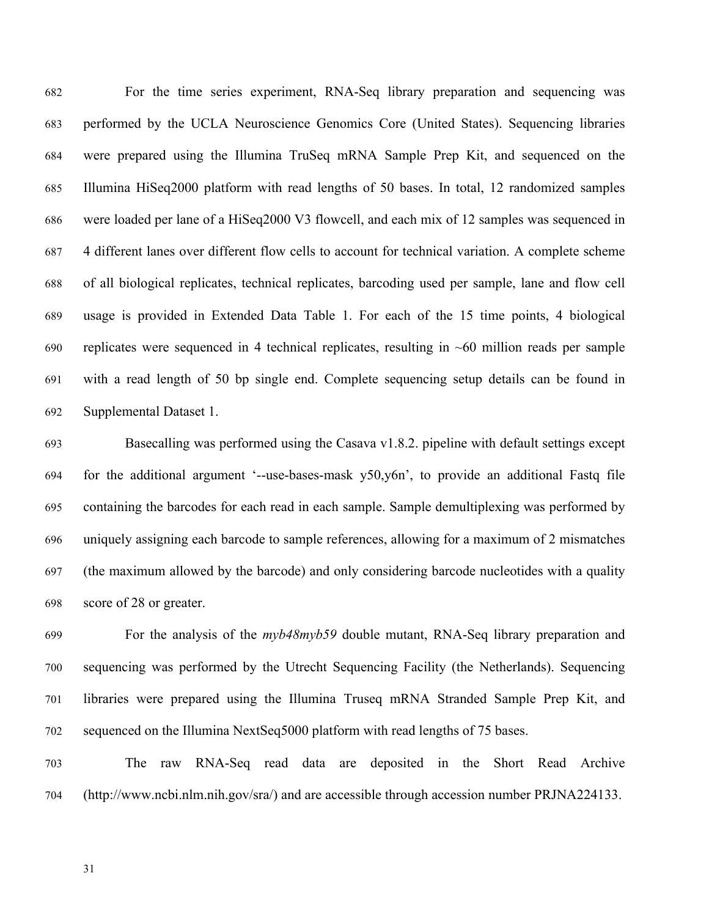For the time series experiment, RNA-Seq library preparation and sequencing was performed by the UCLA Neuroscience Genomics Core (United States). Sequencing libraries were prepared using the Illumina TruSeq mRNA Sample Prep Kit, and sequenced on the Illumina HiSeq2000 platform with read lengths of 50 bases. In total, 12 randomized samples were loaded per lane of a HiSeq2000 V3 flowcell, and each mix of 12 samples was sequenced in 4 different lanes over different flow cells to account for technical variation. A complete scheme of all biological replicates, technical replicates, barcoding used per sample, lane and flow cell usage is provided in Extended Data Table 1. For each of the 15 time points, 4 biological replicates were sequenced in 4 technical replicates, resulting in ~60 million reads per sample with a read length of 50 bp single end. Complete sequencing setup details can be found in Supplemental Dataset 1.

 Basecalling was performed using the Casava v1.8.2. pipeline with default settings except for the additional argument '--use-bases-mask y50,y6n', to provide an additional Fastq file containing the barcodes for each read in each sample. Sample demultiplexing was performed by uniquely assigning each barcode to sample references, allowing for a maximum of 2 mismatches (the maximum allowed by the barcode) and only considering barcode nucleotides with a quality score of 28 or greater.

 For the analysis of the *myb48myb59* double mutant, RNA-Seq library preparation and sequencing was performed by the Utrecht Sequencing Facility (the Netherlands). Sequencing libraries were prepared using the Illumina Truseq mRNA Stranded Sample Prep Kit, and sequenced on the Illumina NextSeq5000 platform with read lengths of 75 bases.

 The raw RNA-Seq read data are deposited in the Short Read Archive (http://www.ncbi.nlm.nih.gov/sra/) and are accessible through accession number PRJNA224133.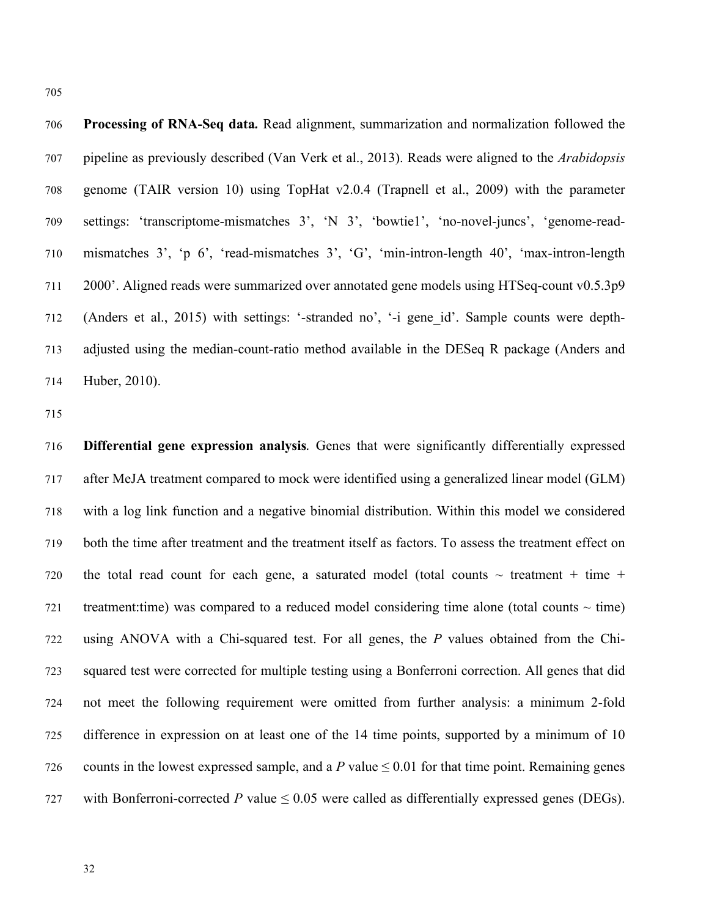706 Processing of RNA-Seq data. Read alignment, summarization and normalization followed the pipeline as previously described (Van Verk et al., 2013). Reads were aligned to the *Arabidopsis* genome (TAIR version 10) using TopHat v2.0.4 (Trapnell et al., 2009) with the parameter settings: 'transcriptome-mismatches 3', 'N 3', 'bowtie1', 'no-novel-juncs', 'genome-read- mismatches 3', 'p 6', 'read-mismatches 3', 'G', 'min-intron-length 40', 'max-intron-length 2000'. Aligned reads were summarized over annotated gene models using HTSeq-count v0.5.3p9 (Anders et al., 2015) with settings: '-stranded no', '-i gene\_id'. Sample counts were depth- adjusted using the median-count-ratio method available in the DESeq R package (Anders and Huber, 2010).

 **Differential gene expression analysis***.* Genes that were significantly differentially expressed after MeJA treatment compared to mock were identified using a generalized linear model (GLM) with a log link function and a negative binomial distribution. Within this model we considered both the time after treatment and the treatment itself as factors. To assess the treatment effect on 720 the total read count for each gene, a saturated model (total counts  $\sim$  treatment + time + 721 treatment:time) was compared to a reduced model considering time alone (total counts  $\sim$  time) using ANOVA with a Chi-squared test. For all genes, the *P* values obtained from the Chi- squared test were corrected for multiple testing using a Bonferroni correction. All genes that did not meet the following requirement were omitted from further analysis: a minimum 2-fold difference in expression on at least one of the 14 time points, supported by a minimum of 10 726 counts in the lowest expressed sample, and a *P* value  $\leq$  0.01 for that time point. Remaining genes 727 with Bonferroni-corrected *P* value  $\leq 0.05$  were called as differentially expressed genes (DEGs).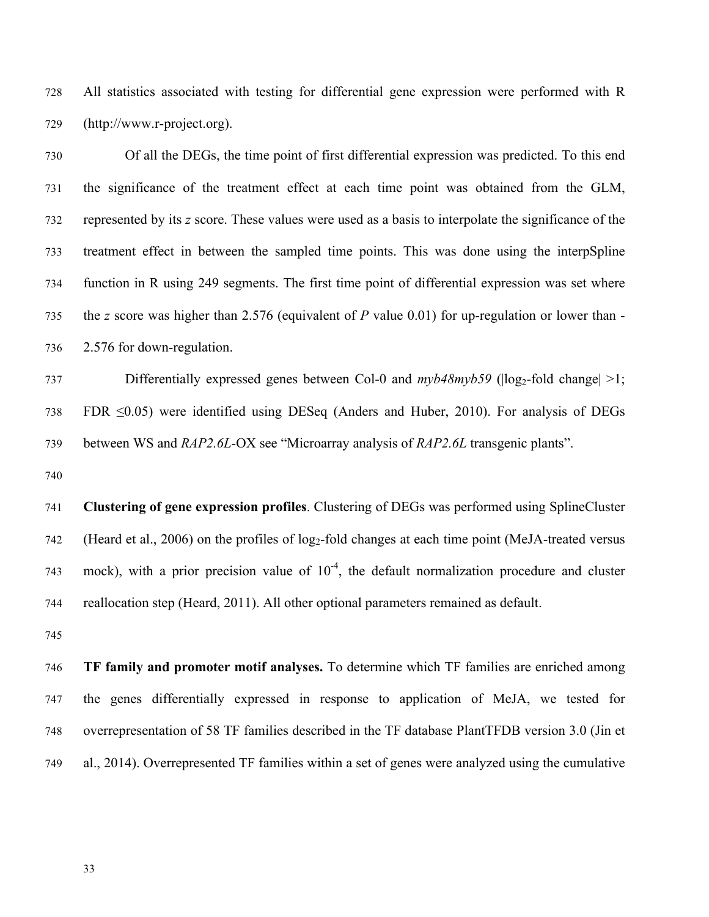All statistics associated with testing for differential gene expression were performed with R (http://www.r-project.org).

 Of all the DEGs, the time point of first differential expression was predicted. To this end the significance of the treatment effect at each time point was obtained from the GLM, represented by its *z* score. These values were used as a basis to interpolate the significance of the treatment effect in between the sampled time points. This was done using the interpSpline function in R using 249 segments. The first time point of differential expression was set where the *z* score was higher than 2.576 (equivalent of *P* value 0.01) for up-regulation or lower than - 2.576 for down-regulation.

737 Differentially expressed genes between Col-0 and  $mvb48mvb59$  ( $|log_2$ -fold change $|>1$ ; FDR ≤0.05) were identified using DESeq (Anders and Huber, 2010). For analysis of DEGs between WS and *RAP2.6L*-OX see "Microarray analysis of *RAP2.6L* transgenic plants".

 **Clustering of gene expression profiles**. Clustering of DEGs was performed using SplineCluster 742 (Heard et al., 2006) on the profiles of  $log_2$ -fold changes at each time point (MeJA-treated versus 743 mock), with a prior precision value of  $10^{-4}$ , the default normalization procedure and cluster reallocation step (Heard, 2011). All other optional parameters remained as default.

 **TF family and promoter motif analyses.** To determine which TF families are enriched among the genes differentially expressed in response to application of MeJA, we tested for overrepresentation of 58 TF families described in the TF database PlantTFDB version 3.0 (Jin et al., 2014). Overrepresented TF families within a set of genes were analyzed using the cumulative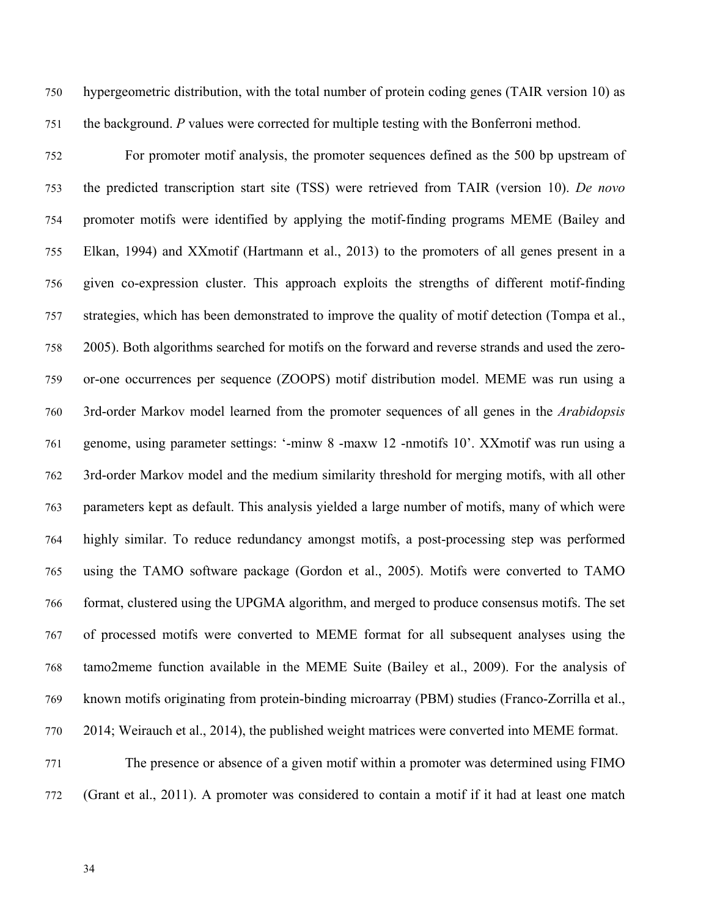hypergeometric distribution, with the total number of protein coding genes (TAIR version 10) as the background. *P* values were corrected for multiple testing with the Bonferroni method.

 For promoter motif analysis, the promoter sequences defined as the 500 bp upstream of the predicted transcription start site (TSS) were retrieved from TAIR (version 10). *De novo* promoter motifs were identified by applying the motif-finding programs MEME (Bailey and Elkan, 1994) and XXmotif (Hartmann et al., 2013) to the promoters of all genes present in a given co-expression cluster. This approach exploits the strengths of different motif-finding strategies, which has been demonstrated to improve the quality of motif detection (Tompa et al., 2005). Both algorithms searched for motifs on the forward and reverse strands and used the zero- or-one occurrences per sequence (ZOOPS) motif distribution model. MEME was run using a 3rd-order Markov model learned from the promoter sequences of all genes in the *Arabidopsis* genome, using parameter settings: '-minw 8 -maxw 12 -nmotifs 10'. XXmotif was run using a 3rd-order Markov model and the medium similarity threshold for merging motifs, with all other parameters kept as default. This analysis yielded a large number of motifs, many of which were highly similar. To reduce redundancy amongst motifs, a post-processing step was performed using the TAMO software package (Gordon et al., 2005). Motifs were converted to TAMO format, clustered using the UPGMA algorithm, and merged to produce consensus motifs. The set of processed motifs were converted to MEME format for all subsequent analyses using the tamo2meme function available in the MEME Suite (Bailey et al., 2009). For the analysis of known motifs originating from protein-binding microarray (PBM) studies (Franco-Zorrilla et al., 2014; Weirauch et al., 2014), the published weight matrices were converted into MEME format.

 The presence or absence of a given motif within a promoter was determined using FIMO (Grant et al., 2011). A promoter was considered to contain a motif if it had at least one match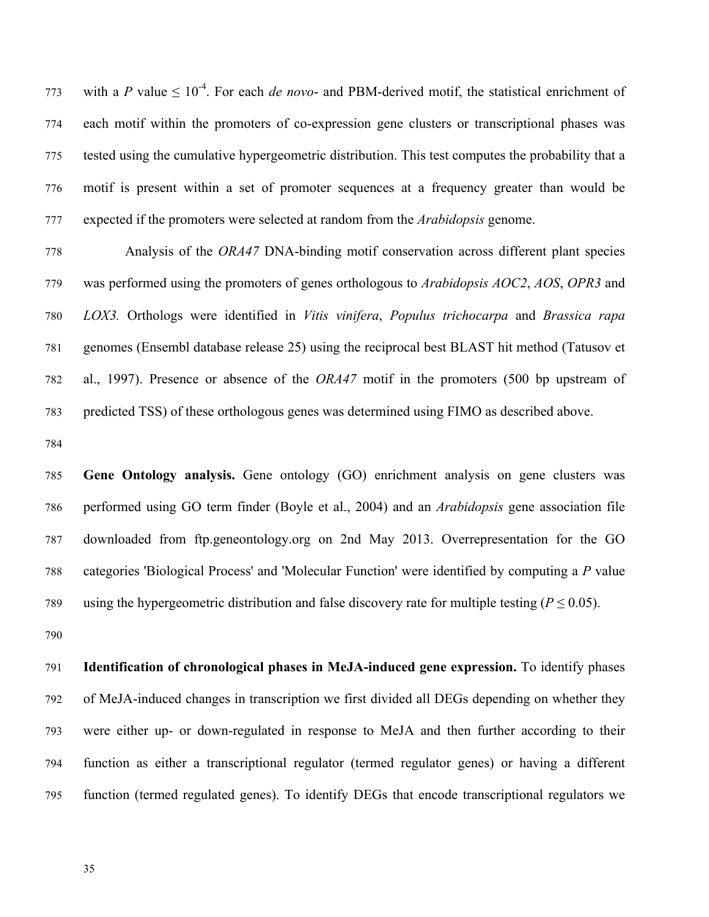773 with a *P* value  $\leq 10^{-4}$ . For each *de novo*- and PBM-derived motif, the statistical enrichment of each motif within the promoters of co-expression gene clusters or transcriptional phases was tested using the cumulative hypergeometric distribution. This test computes the probability that a motif is present within a set of promoter sequences at a frequency greater than would be expected if the promoters were selected at random from the *Arabidopsis* genome.

 Analysis of the *ORA47* DNA-binding motif conservation across different plant species was performed using the promoters of genes orthologous to *Arabidopsis AOC2*, *AOS*, *OPR3* and *LOX3.* Orthologs were identified in *Vitis vinifera*, *Populus trichocarpa* and *Brassica rapa* genomes (Ensembl database release 25) using the reciprocal best BLAST hit method (Tatusov et al., 1997). Presence or absence of the *ORA47* motif in the promoters (500 bp upstream of predicted TSS) of these orthologous genes was determined using FIMO as described above.

 **Gene Ontology analysis.** Gene ontology (GO) enrichment analysis on gene clusters was performed using GO term finder (Boyle et al., 2004) and an *Arabidopsis* gene association file downloaded from ftp.geneontology.org on 2nd May 2013. Overrepresentation for the GO categories 'Biological Process' and 'Molecular Function' were identified by computing a *P* value 789 using the hypergeometric distribution and false discovery rate for multiple testing ( $P \le 0.05$ ).

 **Identification of chronological phases in MeJA-induced gene expression.** To identify phases of MeJA-induced changes in transcription we first divided all DEGs depending on whether they were either up- or down-regulated in response to MeJA and then further according to their function as either a transcriptional regulator (termed regulator genes) or having a different function (termed regulated genes). To identify DEGs that encode transcriptional regulators we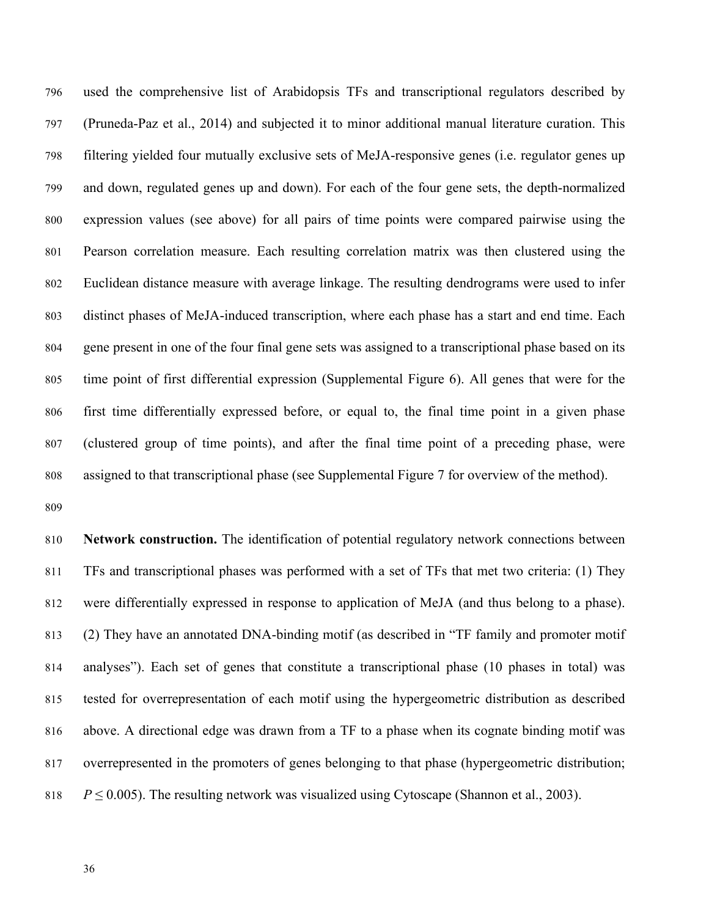used the comprehensive list of Arabidopsis TFs and transcriptional regulators described by (Pruneda-Paz et al., 2014) and subjected it to minor additional manual literature curation. This filtering yielded four mutually exclusive sets of MeJA-responsive genes (i.e. regulator genes up and down, regulated genes up and down). For each of the four gene sets, the depth-normalized expression values (see above) for all pairs of time points were compared pairwise using the Pearson correlation measure. Each resulting correlation matrix was then clustered using the Euclidean distance measure with average linkage. The resulting dendrograms were used to infer distinct phases of MeJA-induced transcription, where each phase has a start and end time. Each gene present in one of the four final gene sets was assigned to a transcriptional phase based on its time point of first differential expression (Supplemental Figure 6). All genes that were for the first time differentially expressed before, or equal to, the final time point in a given phase (clustered group of time points), and after the final time point of a preceding phase, were assigned to that transcriptional phase (see Supplemental Figure 7 for overview of the method).

 **Network construction.** The identification of potential regulatory network connections between TFs and transcriptional phases was performed with a set of TFs that met two criteria: (1) They were differentially expressed in response to application of MeJA (and thus belong to a phase). (2) They have an annotated DNA-binding motif (as described in "TF family and promoter motif analyses"). Each set of genes that constitute a transcriptional phase (10 phases in total) was tested for overrepresentation of each motif using the hypergeometric distribution as described above. A directional edge was drawn from a TF to a phase when its cognate binding motif was overrepresented in the promoters of genes belonging to that phase (hypergeometric distribution;  $P \le 0.005$ ). The resulting network was visualized using Cytoscape (Shannon et al., 2003).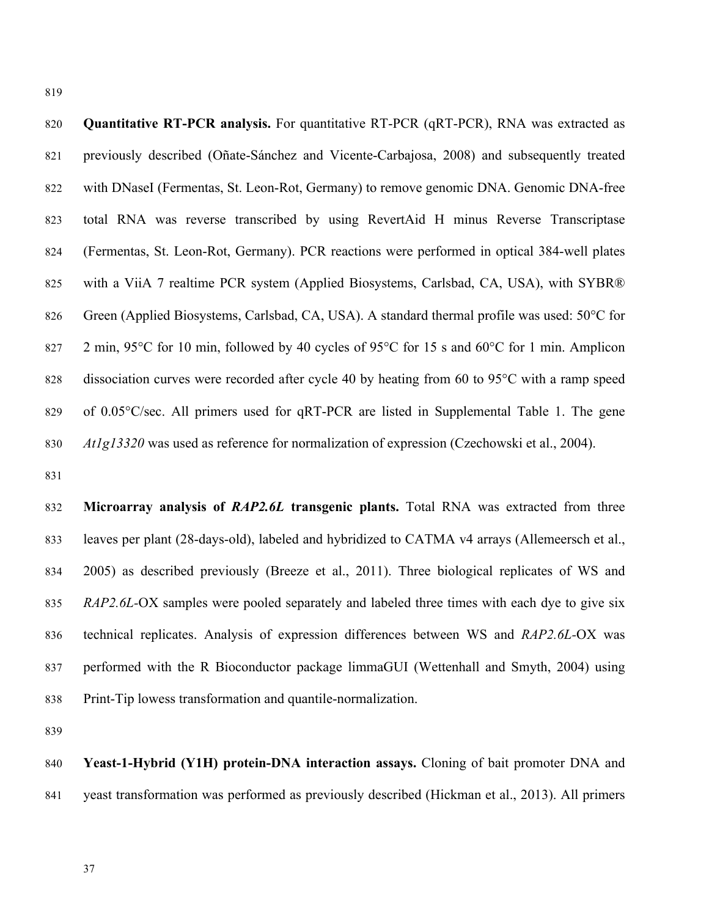**Quantitative RT-PCR analysis.** For quantitative RT-PCR (qRT-PCR), RNA was extracted as previously described (Oñate-Sánchez and Vicente-Carbajosa, 2008) and subsequently treated with DNaseI (Fermentas, St. Leon-Rot, Germany) to remove genomic DNA. Genomic DNA-free total RNA was reverse transcribed by using RevertAid H minus Reverse Transcriptase (Fermentas, St. Leon-Rot, Germany). PCR reactions were performed in optical 384-well plates with a ViiA 7 realtime PCR system (Applied Biosystems, Carlsbad, CA, USA), with SYBR® 826 Green (Applied Biosystems, Carlsbad, CA, USA). A standard thermal profile was used: 50°C for 827 2 min, 95°C for 10 min, followed by 40 cycles of 95°C for 15 s and 60°C for 1 min. Amplicon 828 dissociation curves were recorded after cycle 40 by heating from 60 to 95<sup>o</sup>C with a ramp speed 829 of 0.05°C/sec. All primers used for qRT-PCR are listed in Supplemental Table 1. The gene *At1g13320* was used as reference for normalization of expression (Czechowski et al., 2004).

 **Microarray analysis of** *RAP2.6L* **transgenic plants.** Total RNA was extracted from three leaves per plant (28-days-old), labeled and hybridized to CATMA v4 arrays (Allemeersch et al., 2005) as described previously (Breeze et al., 2011). Three biological replicates of WS and *RAP2.6L-*OX samples were pooled separately and labeled three times with each dye to give six technical replicates. Analysis of expression differences between WS and *RAP2.6L-*OX was performed with the R Bioconductor package limmaGUI (Wettenhall and Smyth, 2004) using Print-Tip lowess transformation and quantile-normalization.

 **Yeast-1-Hybrid (Y1H) protein-DNA interaction assays.** Cloning of bait promoter DNA and yeast transformation was performed as previously described (Hickman et al., 2013). All primers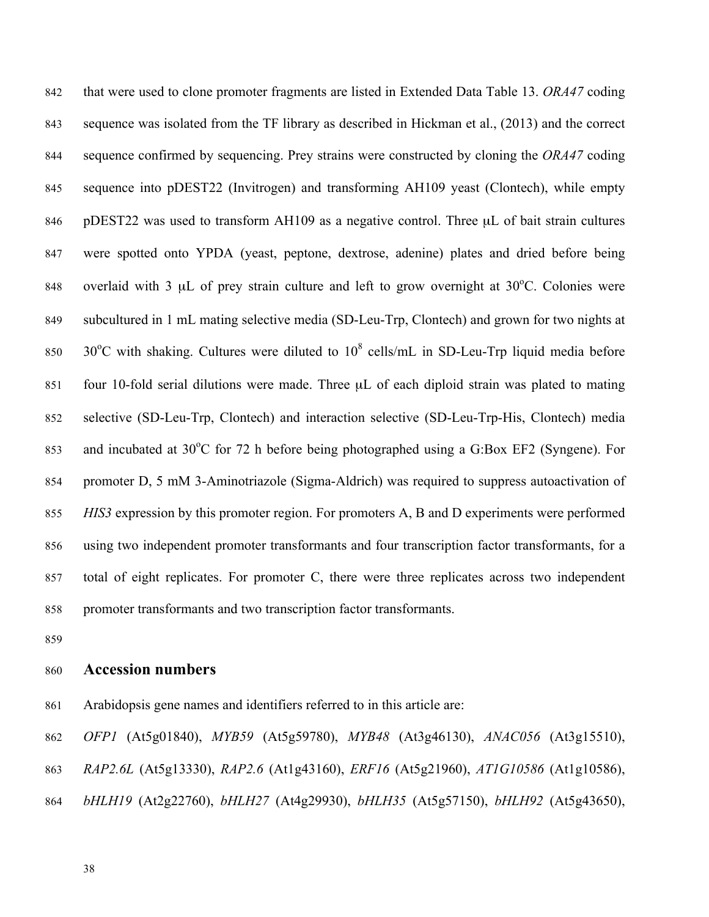that were used to clone promoter fragments are listed in Extended Data Table 13. *ORA47* coding sequence was isolated from the TF library as described in Hickman et al., (2013) and the correct sequence confirmed by sequencing. Prey strains were constructed by cloning the *ORA47* coding sequence into pDEST22 (Invitrogen) and transforming AH109 yeast (Clontech), while empty 846 pDEST22 was used to transform AH109 as a negative control. Three µL of bait strain cultures were spotted onto YPDA (yeast, peptone, dextrose, adenine) plates and dried before being 848 overlaid with 3  $\mu$ L of prey strain culture and left to grow overnight at 30°C. Colonies were subcultured in 1 mL mating selective media (SD-Leu-Trp, Clontech) and grown for two nights at 850 30°C with shaking. Cultures were diluted to  $10^8$  cells/mL in SD-Leu-Trp liquid media before four 10-fold serial dilutions were made. Three µL of each diploid strain was plated to mating selective (SD-Leu-Trp, Clontech) and interaction selective (SD-Leu-Trp-His, Clontech) media 853 and incubated at 30°C for 72 h before being photographed using a G:Box EF2 (Syngene). For promoter D, 5 mM 3-Aminotriazole (Sigma-Aldrich) was required to suppress autoactivation of *HIS3* expression by this promoter region. For promoters A, B and D experiments were performed using two independent promoter transformants and four transcription factor transformants, for a total of eight replicates. For promoter C, there were three replicates across two independent promoter transformants and two transcription factor transformants.

# **Accession numbers**

- Arabidopsis gene names and identifiers referred to in this article are:
- *OFP1* (At5g01840), *MYB59* (At5g59780), *MYB48* (At3g46130), *ANAC056* (At3g15510),
- *RAP2.6L* (At5g13330), *RAP2.6* (At1g43160), *ERF16* (At5g21960), *AT1G10586* (At1g10586),
- *bHLH19* (At2g22760), *bHLH27* (At4g29930), *bHLH35* (At5g57150), *bHLH92* (At5g43650),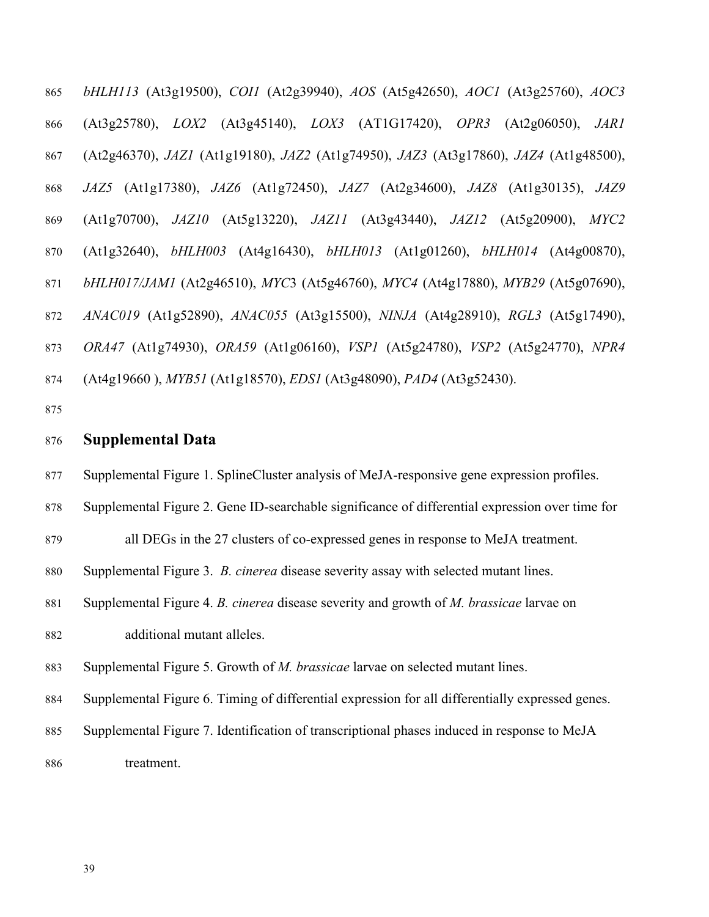*bHLH113* (At3g19500), *COI1* (At2g39940), *AOS* (At5g42650), *AOC1* (At3g25760), *AOC3*  (At3g25780), *LOX2* (At3g45140), *LOX3* (AT1G17420), *OPR3* (At2g06050), *JAR1* (At2g46370), *JAZ1* (At1g19180), *JAZ2* (At1g74950), *JAZ3* (At3g17860), *JAZ4* (At1g48500), *JAZ5* (At1g17380), *JAZ6* (At1g72450), *JAZ7* (At2g34600), *JAZ8* (At1g30135), *JAZ9* (At1g70700), *JAZ10* (At5g13220), *JAZ11* (At3g43440), *JAZ12* (At5g20900), *MYC2* (At1g32640), *bHLH003* (At4g16430), *bHLH013* (At1g01260), *bHLH014* (At4g00870), *bHLH017/JAM1* (At2g46510), *MYC*3 (At5g46760), *MYC4* (At4g17880), *MYB29* (At5g07690), *ANAC019* (At1g52890), *ANAC055* (At3g15500), *NINJA* (At4g28910), *RGL3* (At5g17490), *ORA47* (At1g74930), *ORA59* (At1g06160), *VSP1* (At5g24780), *VSP2* (At5g24770), *NPR4* (At4g19660 ), *MYB51* (At1g18570), *EDS1* (At3g48090), *PAD4* (At3g52430).

## **Supplemental Data**

Supplemental Figure 1. SplineCluster analysis of MeJA-responsive gene expression profiles.

Supplemental Figure 2. Gene ID-searchable significance of differential expression over time for

all DEGs in the 27 clusters of co-expressed genes in response to MeJA treatment.

Supplemental Figure 3. *B. cinerea* disease severity assay with selected mutant lines.

 Supplemental Figure 4. *B. cinerea* disease severity and growth of *M. brassicae* larvae on additional mutant alleles.

Supplemental Figure 5. Growth of *M. brassicae* larvae on selected mutant lines.

Supplemental Figure 6. Timing of differential expression for all differentially expressed genes.

 Supplemental Figure 7. Identification of transcriptional phases induced in response to MeJA treatment.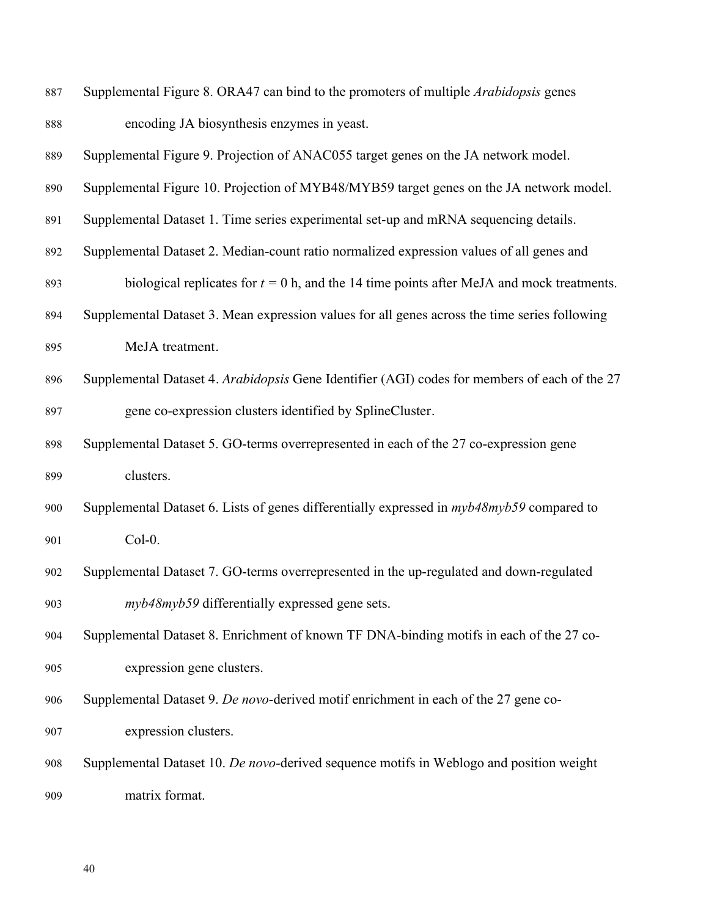| 887 | Supplemental Figure 8. ORA47 can bind to the promoters of multiple <i>Arabidopsis</i> genes      |
|-----|--------------------------------------------------------------------------------------------------|
| 888 | encoding JA biosynthesis enzymes in yeast.                                                       |
| 889 | Supplemental Figure 9. Projection of ANAC055 target genes on the JA network model.               |
| 890 | Supplemental Figure 10. Projection of MYB48/MYB59 target genes on the JA network model.          |
| 891 | Supplemental Dataset 1. Time series experimental set-up and mRNA sequencing details.             |
| 892 | Supplemental Dataset 2. Median-count ratio normalized expression values of all genes and         |
| 893 | biological replicates for $t = 0$ h, and the 14 time points after MeJA and mock treatments.      |
| 894 | Supplemental Dataset 3. Mean expression values for all genes across the time series following    |
| 895 | MeJA treatment.                                                                                  |
| 896 | Supplemental Dataset 4. Arabidopsis Gene Identifier (AGI) codes for members of each of the 27    |
| 897 | gene co-expression clusters identified by SplineCluster.                                         |
| 898 | Supplemental Dataset 5. GO-terms overrepresented in each of the 27 co-expression gene            |
| 899 | clusters.                                                                                        |
| 900 | Supplemental Dataset 6. Lists of genes differentially expressed in <i>myb48myb59</i> compared to |
| 901 | $Col-0$ .                                                                                        |
| 902 | Supplemental Dataset 7. GO-terms overrepresented in the up-regulated and down-regulated          |
| 903 | <i>myb48myb59</i> differentially expressed gene sets.                                            |
| 904 | Supplemental Dataset 8. Enrichment of known TF DNA-binding motifs in each of the 27 co-          |
| 905 | expression gene clusters.                                                                        |
| 906 | Supplemental Dataset 9. De novo-derived motif enrichment in each of the 27 gene co-              |
| 907 | expression clusters.                                                                             |
| 908 | Supplemental Dataset 10. De novo-derived sequence motifs in Weblogo and position weight          |
| 909 | matrix format.                                                                                   |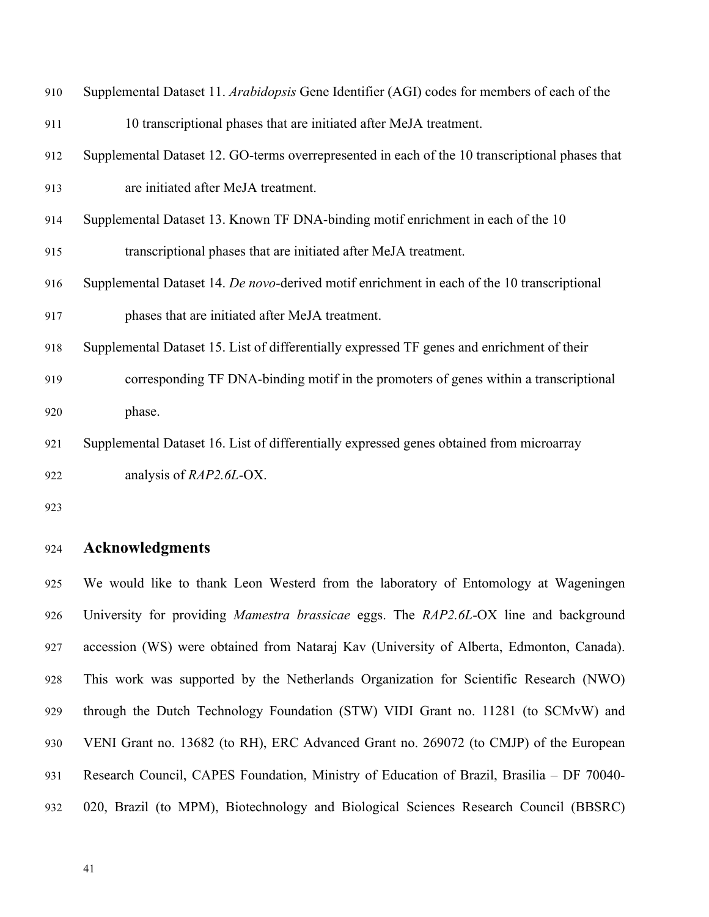| 910 | Supplemental Dataset 11. Arabidopsis Gene Identifier (AGI) codes for members of each of the     |
|-----|-------------------------------------------------------------------------------------------------|
| 911 | 10 transcriptional phases that are initiated after MeJA treatment.                              |
| 912 | Supplemental Dataset 12. GO-terms overrepresented in each of the 10 transcriptional phases that |
| 913 | are initiated after MeJA treatment.                                                             |
| 914 | Supplemental Dataset 13. Known TF DNA-binding motif enrichment in each of the 10                |
| 915 | transcriptional phases that are initiated after MeJA treatment.                                 |
| 916 | Supplemental Dataset 14. De novo-derived motif enrichment in each of the 10 transcriptional     |
| 917 | phases that are initiated after MeJA treatment.                                                 |
| 918 | Supplemental Dataset 15. List of differentially expressed TF genes and enrichment of their      |
| 919 | corresponding TF DNA-binding motif in the promoters of genes within a transcriptional           |
| 920 | phase.                                                                                          |
| 921 | Supplemental Dataset 16. List of differentially expressed genes obtained from microarray        |
| 922 | analysis of <i>RAP2.6L</i> -OX.                                                                 |
|     |                                                                                                 |

# **Acknowledgments**

 We would like to thank Leon Westerd from the laboratory of Entomology at Wageningen University for providing *Mamestra brassicae* eggs. The *RAP2.6L*-OX line and background accession (WS) were obtained from Nataraj Kav (University of Alberta, Edmonton, Canada). This work was supported by the Netherlands Organization for Scientific Research (NWO) through the Dutch Technology Foundation (STW) VIDI Grant no. 11281 (to SCMvW) and VENI Grant no. 13682 (to RH), ERC Advanced Grant no. 269072 (to CMJP) of the European Research Council, CAPES Foundation, Ministry of Education of Brazil, Brasilia – DF 70040- 020, Brazil (to MPM), Biotechnology and Biological Sciences Research Council (BBSRC)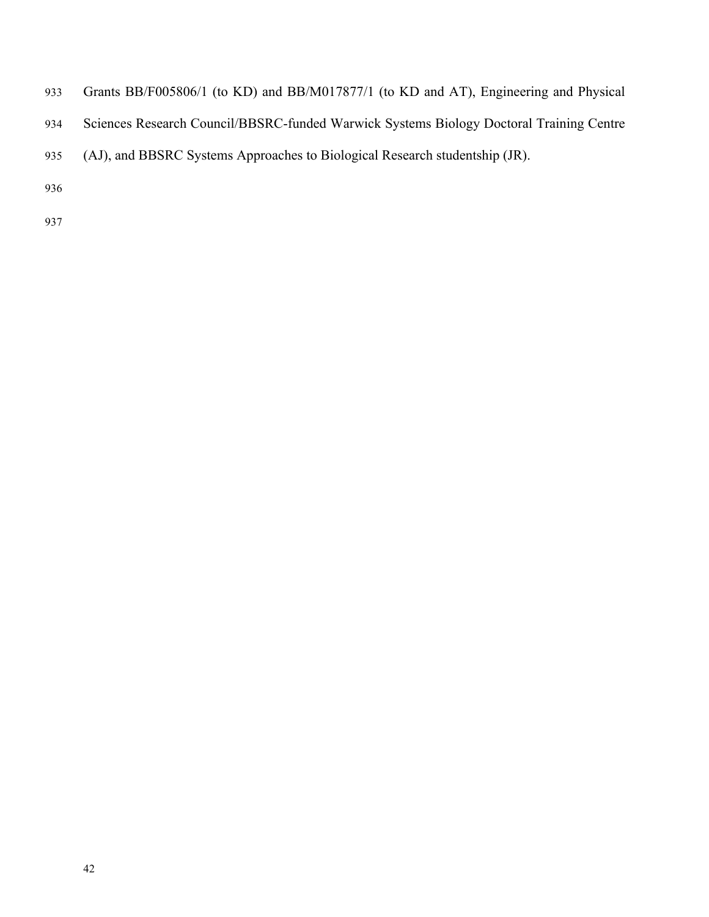- Grants BB/F005806/1 (to KD) and BB/M017877/1 (to KD and AT), Engineering and Physical
- Sciences Research Council/BBSRC-funded Warwick Systems Biology Doctoral Training Centre
- (AJ), and BBSRC Systems Approaches to Biological Research studentship (JR).
- 
-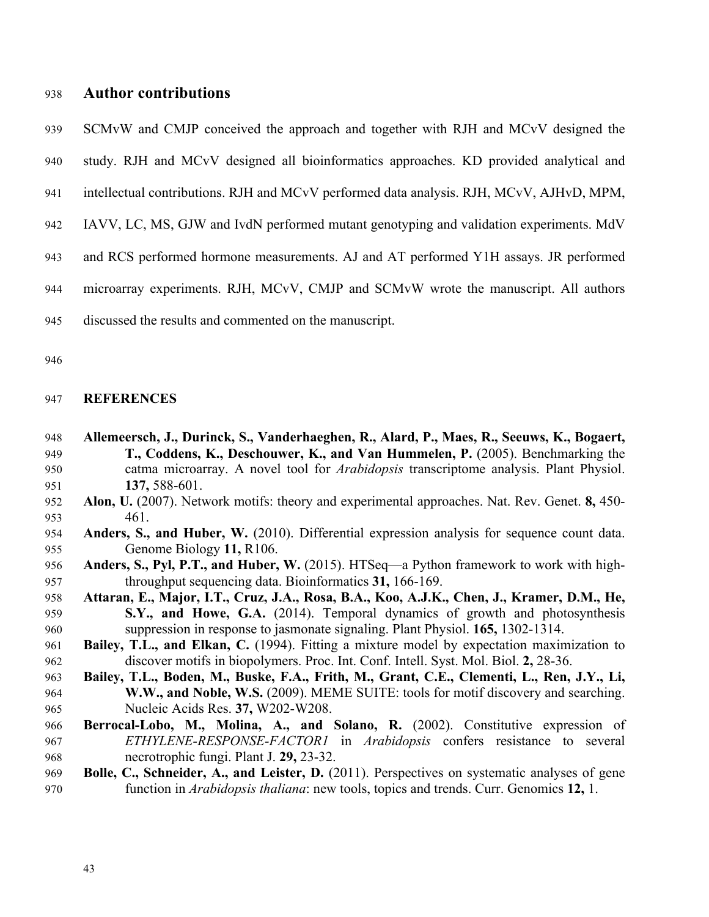## **Author contributions**

SCMvW and CMJP conceived the approach and together with RJH and MCvV designed the

study. RJH and MCvV designed all bioinformatics approaches. KD provided analytical and

- intellectual contributions. RJH and MCvV performed data analysis. RJH, MCvV, AJHvD, MPM,
- IAVV, LC, MS, GJW and IvdN performed mutant genotyping and validation experiments. MdV
- and RCS performed hormone measurements. AJ and AT performed Y1H assays. JR performed
- microarray experiments. RJH, MCvV, CMJP and SCMvW wrote the manuscript. All authors
- discussed the results and commented on the manuscript.

### **REFERENCES**

- **Allemeersch, J., Durinck, S., Vanderhaeghen, R., Alard, P., Maes, R., Seeuws, K., Bogaert, T., Coddens, K., Deschouwer, K., and Van Hummelen, P.** (2005). Benchmarking the catma microarray. A novel tool for *Arabidopsis* transcriptome analysis. Plant Physiol. **137,** 588-601.
- **Alon, U.** (2007). Network motifs: theory and experimental approaches. Nat. Rev. Genet. **8,** 450- 461.
- **Anders, S., and Huber, W.** (2010). Differential expression analysis for sequence count data. Genome Biology **11,** R106.
- **Anders, S., Pyl, P.T., and Huber, W.** (2015). HTSeq—a Python framework to work with high-throughput sequencing data. Bioinformatics **31,** 166-169.
- **Attaran, E., Major, I.T., Cruz, J.A., Rosa, B.A., Koo, A.J.K., Chen, J., Kramer, D.M., He, S.Y., and Howe, G.A.** (2014). Temporal dynamics of growth and photosynthesis suppression in response to jasmonate signaling. Plant Physiol. **165,** 1302-1314.
- **Bailey, T.L., and Elkan, C.** (1994). Fitting a mixture model by expectation maximization to discover motifs in biopolymers. Proc. Int. Conf. Intell. Syst. Mol. Biol. **2,** 28-36.
- **Bailey, T.L., Boden, M., Buske, F.A., Frith, M., Grant, C.E., Clementi, L., Ren, J.Y., Li, W.W., and Noble, W.S.** (2009). MEME SUITE: tools for motif discovery and searching. Nucleic Acids Res. **37,** W202-W208.
- **Berrocal-Lobo, M., Molina, A., and Solano, R.** (2002). Constitutive expression of *ETHYLENE-RESPONSE-FACTOR1* in *Arabidopsis* confers resistance to several necrotrophic fungi. Plant J. **29,** 23-32.
- **Bolle, C., Schneider, A., and Leister, D.** (2011). Perspectives on systematic analyses of gene function in *Arabidopsis thaliana*: new tools, topics and trends. Curr. Genomics **12,** 1.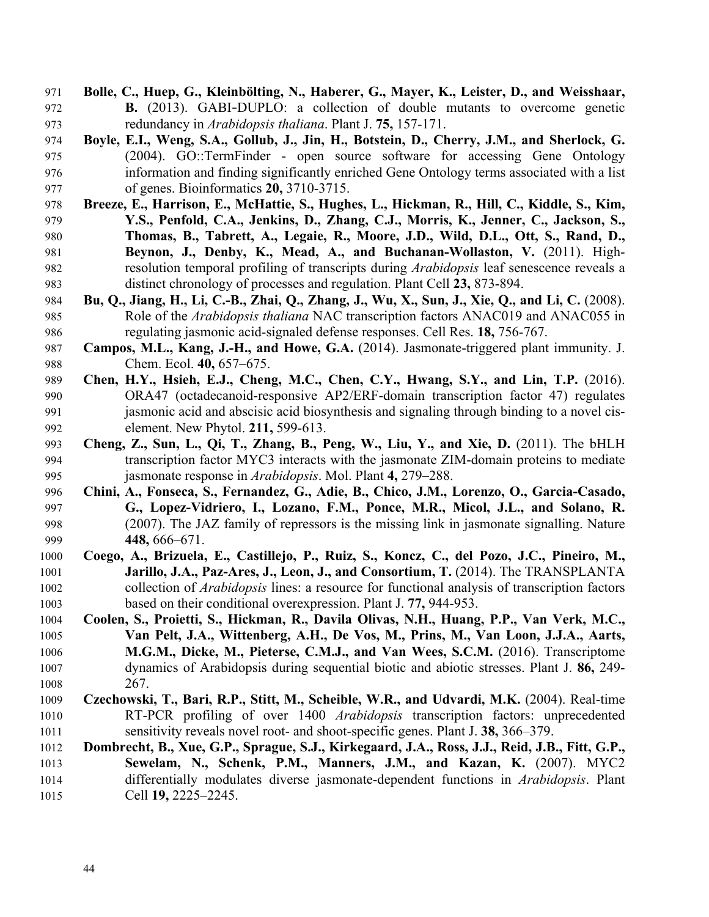- **Bolle, C., Huep, G., Kleinbölting, N., Haberer, G., Mayer, K., Leister, D., and Weisshaar, B.** (2013). GABI**‐**DUPLO: a collection of double mutants to overcome genetic redundancy in *Arabidopsis thaliana*. Plant J. **75,** 157-171.
- **Boyle, E.I., Weng, S.A., Gollub, J., Jin, H., Botstein, D., Cherry, J.M., and Sherlock, G.** (2004). GO::TermFinder - open source software for accessing Gene Ontology information and finding significantly enriched Gene Ontology terms associated with a list of genes. Bioinformatics **20,** 3710-3715.
- **Breeze, E., Harrison, E., McHattie, S., Hughes, L., Hickman, R., Hill, C., Kiddle, S., Kim, Y.S., Penfold, C.A., Jenkins, D., Zhang, C.J., Morris, K., Jenner, C., Jackson, S., Thomas, B., Tabrett, A., Legaie, R., Moore, J.D., Wild, D.L., Ott, S., Rand, D., Beynon, J., Denby, K., Mead, A., and Buchanan-Wollaston, V.** (2011). High- resolution temporal profiling of transcripts during *Arabidopsis* leaf senescence reveals a distinct chronology of processes and regulation. Plant Cell **23,** 873-894.
- **Bu, Q., Jiang, H., Li, C.-B., Zhai, Q., Zhang, J., Wu, X., Sun, J., Xie, Q., and Li, C.** (2008). Role of the *Arabidopsis thaliana* NAC transcription factors ANAC019 and ANAC055 in regulating jasmonic acid-signaled defense responses. Cell Res. **18,** 756-767.
- **Campos, M.L., Kang, J.-H., and Howe, G.A.** (2014). Jasmonate-triggered plant immunity. J. Chem. Ecol. **40,** 657–675.
- **Chen, H.Y., Hsieh, E.J., Cheng, M.C., Chen, C.Y., Hwang, S.Y., and Lin, T.P.** (2016). ORA47 (octadecanoid-responsive AP2/ERF-domain transcription factor 47) regulates jasmonic acid and abscisic acid biosynthesis and signaling through binding to a novel cis-element. New Phytol. **211,** 599-613.
- **Cheng, Z., Sun, L., Qi, T., Zhang, B., Peng, W., Liu, Y., and Xie, D.** (2011). The bHLH transcription factor MYC3 interacts with the jasmonate ZIM-domain proteins to mediate jasmonate response in *Arabidopsis*. Mol. Plant **4,** 279–288.
- **Chini, A., Fonseca, S., Fernandez, G., Adie, B., Chico, J.M., Lorenzo, O., Garcia-Casado, G., Lopez-Vidriero, I., Lozano, F.M., Ponce, M.R., Micol, J.L., and Solano, R.** (2007). The JAZ family of repressors is the missing link in jasmonate signalling. Nature **448,** 666–671.
- **Coego, A., Brizuela, E., Castillejo, P., Ruiz, S., Koncz, C., del Pozo, J.C., Pineiro, M., Jarillo, J.A., Paz-Ares, J., Leon, J., and Consortium, T.** (2014). The TRANSPLANTA collection of *Arabidopsis* lines: a resource for functional analysis of transcription factors based on their conditional overexpression. Plant J. **77,** 944-953.
- **Coolen, S., Proietti, S., Hickman, R., Davila Olivas, N.H., Huang, P.P., Van Verk, M.C., Van Pelt, J.A., Wittenberg, A.H., De Vos, M., Prins, M., Van Loon, J.J.A., Aarts, M.G.M., Dicke, M., Pieterse, C.M.J., and Van Wees, S.C.M.** (2016). Transcriptome dynamics of Arabidopsis during sequential biotic and abiotic stresses. Plant J. **86,** 249- 267.
- **Czechowski, T., Bari, R.P., Stitt, M., Scheible, W.R., and Udvardi, M.K.** (2004). Real-time RT-PCR profiling of over 1400 *Arabidopsis* transcription factors: unprecedented sensitivity reveals novel root- and shoot-specific genes. Plant J. **38,** 366–379.
- **Dombrecht, B., Xue, G.P., Sprague, S.J., Kirkegaard, J.A., Ross, J.J., Reid, J.B., Fitt, G.P., Sewelam, N., Schenk, P.M., Manners, J.M., and Kazan, K.** (2007). MYC2 differentially modulates diverse jasmonate-dependent functions in *Arabidopsis*. Plant Cell **19,** 2225–2245.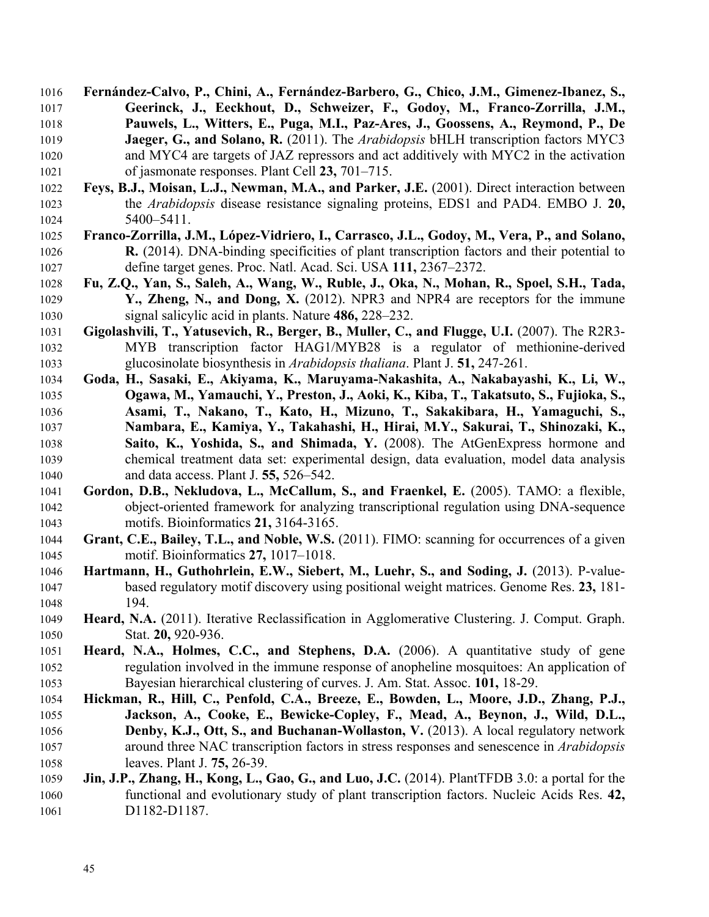- **Fernández-Calvo, P., Chini, A., Fernández-Barbero, G., Chico, J.M., Gimenez-Ibanez, S., Geerinck, J., Eeckhout, D., Schweizer, F., Godoy, M., Franco-Zorrilla, J.M., Pauwels, L., Witters, E., Puga, M.I., Paz-Ares, J., Goossens, A., Reymond, P., De Jaeger, G., and Solano, R.** (2011). The *Arabidopsis* bHLH transcription factors MYC3 and MYC4 are targets of JAZ repressors and act additively with MYC2 in the activation of jasmonate responses. Plant Cell **23,** 701–715.
- **Feys, B.J., Moisan, L.J., Newman, M.A., and Parker, J.E.** (2001). Direct interaction between the *Arabidopsis* disease resistance signaling proteins, EDS1 and PAD4. EMBO J. **20,**  5400–5411.
- **Franco-Zorrilla, J.M., López-Vidriero, I., Carrasco, J.L., Godoy, M., Vera, P., and Solano, R.** (2014). DNA-binding specificities of plant transcription factors and their potential to define target genes. Proc. Natl. Acad. Sci. USA **111,** 2367–2372.
- **Fu, Z.Q., Yan, S., Saleh, A., Wang, W., Ruble, J., Oka, N., Mohan, R., Spoel, S.H., Tada, Y., Zheng, N., and Dong, X.** (2012). NPR3 and NPR4 are receptors for the immune signal salicylic acid in plants. Nature **486,** 228–232.
- **Gigolashvili, T., Yatusevich, R., Berger, B., Muller, C., and Flugge, U.I.** (2007). The R2R3- MYB transcription factor HAG1/MYB28 is a regulator of methionine-derived glucosinolate biosynthesis in *Arabidopsis thaliana*. Plant J. **51,** 247-261.
- **Goda, H., Sasaki, E., Akiyama, K., Maruyama-Nakashita, A., Nakabayashi, K., Li, W., Ogawa, M., Yamauchi, Y., Preston, J., Aoki, K., Kiba, T., Takatsuto, S., Fujioka, S., Asami, T., Nakano, T., Kato, H., Mizuno, T., Sakakibara, H., Yamaguchi, S., Nambara, E., Kamiya, Y., Takahashi, H., Hirai, M.Y., Sakurai, T., Shinozaki, K., Saito, K., Yoshida, S., and Shimada, Y.** (2008). The AtGenExpress hormone and chemical treatment data set: experimental design, data evaluation, model data analysis and data access. Plant J. **55,** 526–542.
- **Gordon, D.B., Nekludova, L., McCallum, S., and Fraenkel, E.** (2005). TAMO: a flexible, object-oriented framework for analyzing transcriptional regulation using DNA-sequence motifs. Bioinformatics **21,** 3164-3165.
- **Grant, C.E., Bailey, T.L., and Noble, W.S.** (2011). FIMO: scanning for occurrences of a given motif. Bioinformatics **27,** 1017–1018.
- **Hartmann, H., Guthohrlein, E.W., Siebert, M., Luehr, S., and Soding, J.** (2013). P-value- based regulatory motif discovery using positional weight matrices. Genome Res. **23,** 181- 194.
- **Heard, N.A.** (2011). Iterative Reclassification in Agglomerative Clustering. J. Comput. Graph. Stat. **20,** 920-936.
- **Heard, N.A., Holmes, C.C., and Stephens, D.A.** (2006). A quantitative study of gene regulation involved in the immune response of anopheline mosquitoes: An application of Bayesian hierarchical clustering of curves. J. Am. Stat. Assoc. **101,** 18-29.
- **Hickman, R., Hill, C., Penfold, C.A., Breeze, E., Bowden, L., Moore, J.D., Zhang, P.J., Jackson, A., Cooke, E., Bewicke-Copley, F., Mead, A., Beynon, J., Wild, D.L., Denby, K.J., Ott, S., and Buchanan-Wollaston, V.** (2013). A local regulatory network around three NAC transcription factors in stress responses and senescence in *Arabidopsis* leaves. Plant J. **75,** 26-39.
- **Jin, J.P., Zhang, H., Kong, L., Gao, G., and Luo, J.C.** (2014). PlantTFDB 3.0: a portal for the functional and evolutionary study of plant transcription factors. Nucleic Acids Res. **42, D1182-D1187**.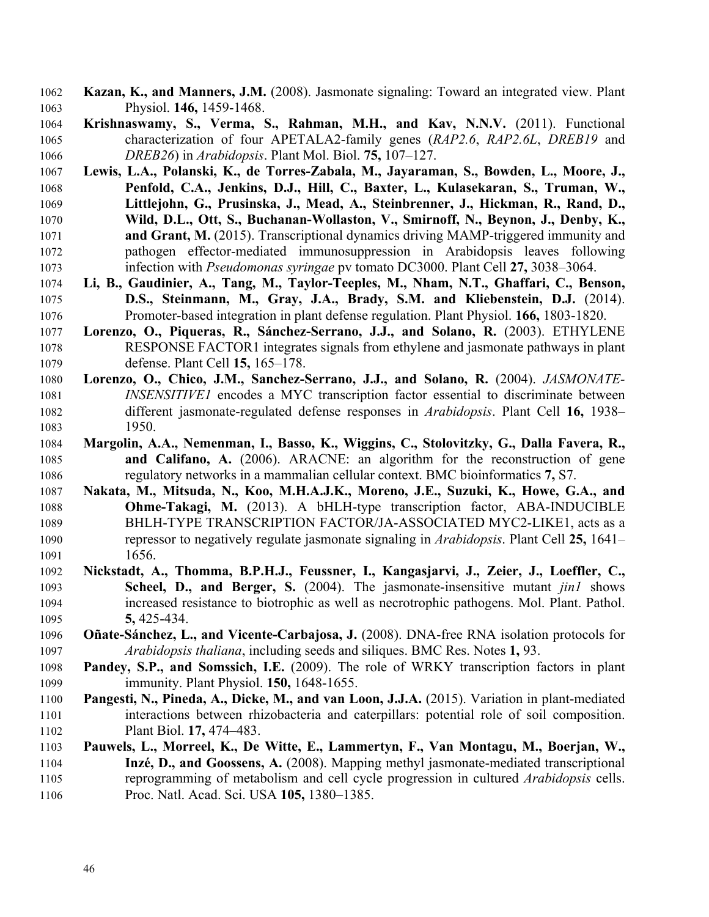- **Kazan, K., and Manners, J.M.** (2008). Jasmonate signaling: Toward an integrated view. Plant Physiol. **146,** 1459-1468.
- **Krishnaswamy, S., Verma, S., Rahman, M.H., and Kav, N.N.V.** (2011). Functional characterization of four APETALA2-family genes (*RAP2.6*, *RAP2.6L*, *DREB19* and *DREB26*) in *Arabidopsis*. Plant Mol. Biol. **75,** 107–127.
- **Lewis, L.A., Polanski, K., de Torres-Zabala, M., Jayaraman, S., Bowden, L., Moore, J., Penfold, C.A., Jenkins, D.J., Hill, C., Baxter, L., Kulasekaran, S., Truman, W., Littlejohn, G., Prusinska, J., Mead, A., Steinbrenner, J., Hickman, R., Rand, D., Wild, D.L., Ott, S., Buchanan-Wollaston, V., Smirnoff, N., Beynon, J., Denby, K., and Grant, M.** (2015). Transcriptional dynamics driving MAMP-triggered immunity and pathogen effector-mediated immunosuppression in Arabidopsis leaves following infection with *Pseudomonas syringae* pv tomato DC3000. Plant Cell **27,** 3038–3064.
- **Li, B., Gaudinier, A., Tang, M., Taylor-Teeples, M., Nham, N.T., Ghaffari, C., Benson, D.S., Steinmann, M., Gray, J.A., Brady, S.M. and Kliebenstein, D.J.** (2014). Promoter-based integration in plant defense regulation. Plant Physiol. **166,** 1803-1820.
- **Lorenzo, O., Piqueras, R., Sánchez-Serrano, J.J., and Solano, R.** (2003). ETHYLENE RESPONSE FACTOR1 integrates signals from ethylene and jasmonate pathways in plant defense. Plant Cell **15,** 165–178.
- **Lorenzo, O., Chico, J.M., Sanchez-Serrano, J.J., and Solano, R.** (2004). *JASMONATE- INSENSITIVE1* encodes a MYC transcription factor essential to discriminate between different jasmonate-regulated defense responses in *Arabidopsis*. Plant Cell **16,** 1938– 1950.
- **Margolin, A.A., Nemenman, I., Basso, K., Wiggins, C., Stolovitzky, G., Dalla Favera, R., and Califano, A.** (2006). ARACNE: an algorithm for the reconstruction of gene regulatory networks in a mammalian cellular context. BMC bioinformatics **7,** S7.
- **Nakata, M., Mitsuda, N., Koo, M.H.A.J.K., Moreno, J.E., Suzuki, K., Howe, G.A., and Ohme-Takagi, M.** (2013). A bHLH-type transcription factor, ABA-INDUCIBLE BHLH-TYPE TRANSCRIPTION FACTOR/JA-ASSOCIATED MYC2-LIKE1, acts as a repressor to negatively regulate jasmonate signaling in *Arabidopsis*. Plant Cell **25,** 1641– 1656.
- **Nickstadt, A., Thomma, B.P.H.J., Feussner, I., Kangasjarvi, J., Zeier, J., Loeffler, C., Scheel, D., and Berger, S.** (2004). The jasmonate-insensitive mutant *jin1* shows increased resistance to biotrophic as well as necrotrophic pathogens. Mol. Plant. Pathol. **5,** 425-434.
- **Oñate-Sánchez, L., and Vicente-Carbajosa, J.** (2008). DNA-free RNA isolation protocols for *Arabidopsis thaliana*, including seeds and siliques. BMC Res. Notes **1,** 93.
- **Pandey, S.P., and Somssich, I.E.** (2009). The role of WRKY transcription factors in plant immunity. Plant Physiol. **150,** 1648-1655.
- **Pangesti, N., Pineda, A., Dicke, M., and van Loon, J.J.A.** (2015). Variation in plant-mediated interactions between rhizobacteria and caterpillars: potential role of soil composition. Plant Biol. **17,** 474–483.
- **Pauwels, L., Morreel, K., De Witte, E., Lammertyn, F., Van Montagu, M., Boerjan, W., Inzé, D., and Goossens, A.** (2008). Mapping methyl jasmonate-mediated transcriptional reprogramming of metabolism and cell cycle progression in cultured *Arabidopsis* cells. Proc. Natl. Acad. Sci. USA **105,** 1380–1385.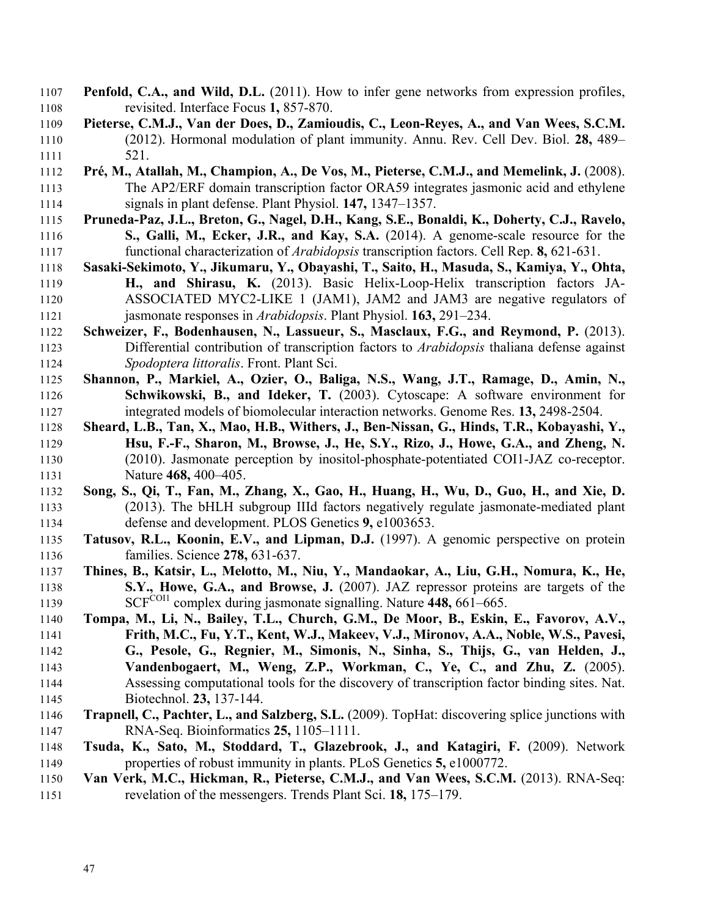- **Penfold, C.A., and Wild, D.L.** (2011). How to infer gene networks from expression profiles, revisited. Interface Focus **1,** 857-870.
- **Pieterse, C.M.J., Van der Does, D., Zamioudis, C., Leon-Reyes, A., and Van Wees, S.C.M.** (2012). Hormonal modulation of plant immunity. Annu. Rev. Cell Dev. Biol. **28,** 489– 521.
- **Pré, M., Atallah, M., Champion, A., De Vos, M., Pieterse, C.M.J., and Memelink, J.** (2008). The AP2/ERF domain transcription factor ORA59 integrates jasmonic acid and ethylene signals in plant defense. Plant Physiol. **147,** 1347–1357.
- **Pruneda-Paz, J.L., Breton, G., Nagel, D.H., Kang, S.E., Bonaldi, K., Doherty, C.J., Ravelo, S., Galli, M., Ecker, J.R., and Kay, S.A.** (2014). A genome-scale resource for the functional characterization of *Arabidopsis* transcription factors. Cell Rep. **8,** 621-631.
- **Sasaki-Sekimoto, Y., Jikumaru, Y., Obayashi, T., Saito, H., Masuda, S., Kamiya, Y., Ohta, H., and Shirasu, K.** (2013). Basic Helix-Loop-Helix transcription factors JA- ASSOCIATED MYC2-LIKE 1 (JAM1), JAM2 and JAM3 are negative regulators of jasmonate responses in *Arabidopsis*. Plant Physiol. **163,** 291–234.
- **Schweizer, F., Bodenhausen, N., Lassueur, S., Masclaux, F.G., and Reymond, P.** (2013). Differential contribution of transcription factors to *Arabidopsis* thaliana defense against *Spodoptera littoralis*. Front. Plant Sci.
- **Shannon, P., Markiel, A., Ozier, O., Baliga, N.S., Wang, J.T., Ramage, D., Amin, N., Schwikowski, B., and Ideker, T.** (2003). Cytoscape: A software environment for integrated models of biomolecular interaction networks. Genome Res. **13,** 2498-2504.
- **Sheard, L.B., Tan, X., Mao, H.B., Withers, J., Ben-Nissan, G., Hinds, T.R., Kobayashi, Y., Hsu, F.-F., Sharon, M., Browse, J., He, S.Y., Rizo, J., Howe, G.A., and Zheng, N.** (2010). Jasmonate perception by inositol-phosphate-potentiated COI1-JAZ co-receptor. Nature **468,** 400–405.
- **Song, S., Qi, T., Fan, M., Zhang, X., Gao, H., Huang, H., Wu, D., Guo, H., and Xie, D.** (2013). The bHLH subgroup IIId factors negatively regulate jasmonate-mediated plant defense and development. PLOS Genetics **9,** e1003653.
- **Tatusov, R.L., Koonin, E.V., and Lipman, D.J.** (1997). A genomic perspective on protein families. Science **278,** 631-637.
- **Thines, B., Katsir, L., Melotto, M., Niu, Y., Mandaokar, A., Liu, G.H., Nomura, K., He, S.Y., Howe, G.A., and Browse, J.** (2007). JAZ repressor proteins are targets of the 1139 SCF<sup>COI1</sup> complex during jasmonate signalling. Nature 448, 661–665.
- **Tompa, M., Li, N., Bailey, T.L., Church, G.M., De Moor, B., Eskin, E., Favorov, A.V., Frith, M.C., Fu, Y.T., Kent, W.J., Makeev, V.J., Mironov, A.A., Noble, W.S., Pavesi, G., Pesole, G., Regnier, M., Simonis, N., Sinha, S., Thijs, G., van Helden, J., Vandenbogaert, M., Weng, Z.P., Workman, C., Ye, C., and Zhu, Z.** (2005). Assessing computational tools for the discovery of transcription factor binding sites. Nat. Biotechnol. **23,** 137-144.
- **Trapnell, C., Pachter, L., and Salzberg, S.L.** (2009). TopHat: discovering splice junctions with RNA-Seq. Bioinformatics **25,** 1105–1111.
- **Tsuda, K., Sato, M., Stoddard, T., Glazebrook, J., and Katagiri, F.** (2009). Network properties of robust immunity in plants. PLoS Genetics **5,** e1000772.
- **Van Verk, M.C., Hickman, R., Pieterse, C.M.J., and Van Wees, S.C.M.** (2013). RNA-Seq: revelation of the messengers. Trends Plant Sci. **18,** 175–179.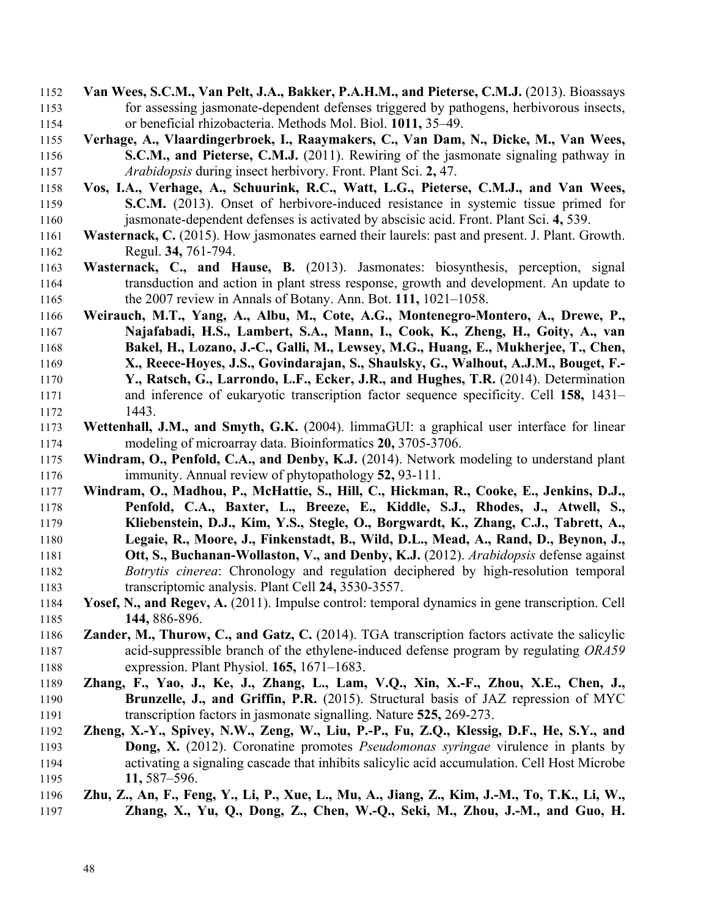- **Van Wees, S.C.M., Van Pelt, J.A., Bakker, P.A.H.M., and Pieterse, C.M.J.** (2013). Bioassays for assessing jasmonate-dependent defenses triggered by pathogens, herbivorous insects, or beneficial rhizobacteria. Methods Mol. Biol. **1011,** 35–49.
- **Verhage, A., Vlaardingerbroek, I., Raaymakers, C., Van Dam, N., Dicke, M., Van Wees, S.C.M., and Pieterse, C.M.J.** (2011). Rewiring of the jasmonate signaling pathway in *Arabidopsis* during insect herbivory. Front. Plant Sci. **2,** 47.
- **Vos, I.A., Verhage, A., Schuurink, R.C., Watt, L.G., Pieterse, C.M.J., and Van Wees, S.C.M.** (2013). Onset of herbivore-induced resistance in systemic tissue primed for jasmonate-dependent defenses is activated by abscisic acid. Front. Plant Sci. **4,** 539.
- **Wasternack, C.** (2015). How jasmonates earned their laurels: past and present. J. Plant. Growth. Regul. **34,** 761-794.
- **Wasternack, C., and Hause, B.** (2013). Jasmonates: biosynthesis, perception, signal transduction and action in plant stress response, growth and development. An update to the 2007 review in Annals of Botany. Ann. Bot. **111,** 1021–1058.
- **Weirauch, M.T., Yang, A., Albu, M., Cote, A.G., Montenegro-Montero, A., Drewe, P., Najafabadi, H.S., Lambert, S.A., Mann, I., Cook, K., Zheng, H., Goity, A., van Bakel, H., Lozano, J.-C., Galli, M., Lewsey, M.G., Huang, E., Mukherjee, T., Chen, X., Reece-Hoyes, J.S., Govindarajan, S., Shaulsky, G., Walhout, A.J.M., Bouget, F.- Y., Ratsch, G., Larrondo, L.F., Ecker, J.R., and Hughes, T.R.** (2014). Determination and inference of eukaryotic transcription factor sequence specificity. Cell **158,** 1431– 1443.
- **Wettenhall, J.M., and Smyth, G.K.** (2004). limmaGUI: a graphical user interface for linear modeling of microarray data. Bioinformatics **20,** 3705-3706.
- **Windram, O., Penfold, C.A., and Denby, K.J.** (2014). Network modeling to understand plant immunity. Annual review of phytopathology **52,** 93-111.
- **Windram, O., Madhou, P., McHattie, S., Hill, C., Hickman, R., Cooke, E., Jenkins, D.J., Penfold, C.A., Baxter, L., Breeze, E., Kiddle, S.J., Rhodes, J., Atwell, S., Kliebenstein, D.J., Kim, Y.S., Stegle, O., Borgwardt, K., Zhang, C.J., Tabrett, A., Legaie, R., Moore, J., Finkenstadt, B., Wild, D.L., Mead, A., Rand, D., Beynon, J., Ott, S., Buchanan-Wollaston, V., and Denby, K.J.** (2012). *Arabidopsis* defense against *Botrytis cinerea*: Chronology and regulation deciphered by high-resolution temporal transcriptomic analysis. Plant Cell **24,** 3530-3557.
- **Yosef, N., and Regev, A.** (2011). Impulse control: temporal dynamics in gene transcription. Cell **144,** 886-896.
- **Zander, M., Thurow, C., and Gatz, C.** (2014). TGA transcription factors activate the salicylic acid-suppressible branch of the ethylene-induced defense program by regulating *ORA59*  expression. Plant Physiol. **165,** 1671–1683.
- **Zhang, F., Yao, J., Ke, J., Zhang, L., Lam, V.Q., Xin, X.-F., Zhou, X.E., Chen, J., Brunzelle, J., and Griffin, P.R.** (2015). Structural basis of JAZ repression of MYC transcription factors in jasmonate signalling. Nature **525,** 269-273.
- **Zheng, X.-Y., Spivey, N.W., Zeng, W., Liu, P.-P., Fu, Z.Q., Klessig, D.F., He, S.Y., and Dong, X.** (2012). Coronatine promotes *Pseudomonas syringae* virulence in plants by activating a signaling cascade that inhibits salicylic acid accumulation. Cell Host Microbe **11,** 587–596.
- **Zhu, Z., An, F., Feng, Y., Li, P., Xue, L., Mu, A., Jiang, Z., Kim, J.-M., To, T.K., Li, W., Zhang, X., Yu, Q., Dong, Z., Chen, W.-Q., Seki, M., Zhou, J.-M., and Guo, H.**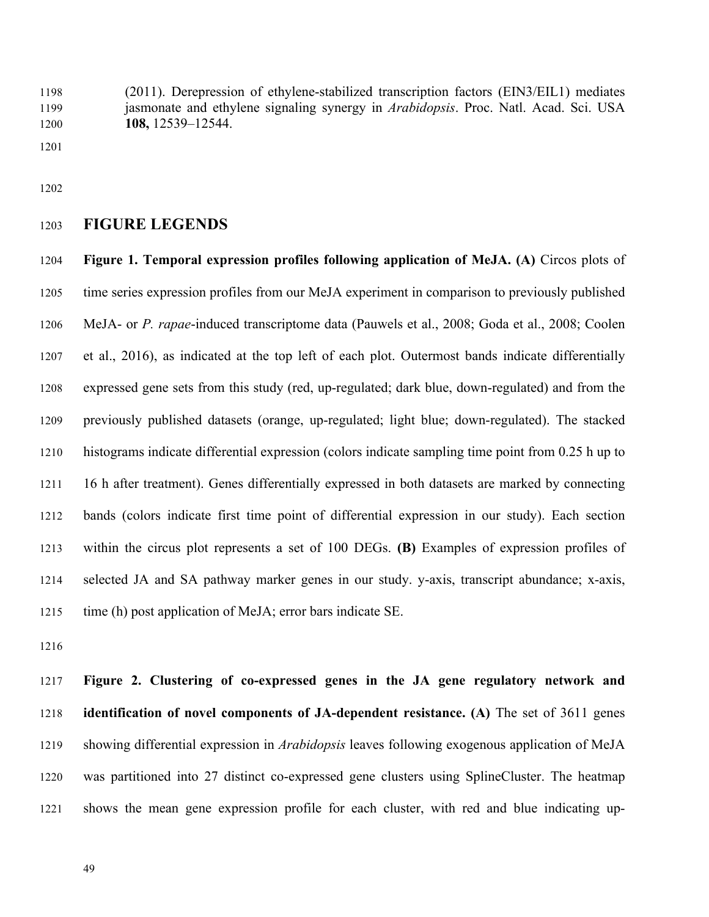(2011). Derepression of ethylene-stabilized transcription factors (EIN3/EIL1) mediates jasmonate and ethylene signaling synergy in *Arabidopsis*. Proc. Natl. Acad. Sci. USA **108,** 12539–12544.

# **FIGURE LEGENDS**

 **Figure 1. Temporal expression profiles following application of MeJA. (A)** Circos plots of time series expression profiles from our MeJA experiment in comparison to previously published MeJA- or *P. rapae*-induced transcriptome data (Pauwels et al., 2008; Goda et al., 2008; Coolen et al., 2016), as indicated at the top left of each plot. Outermost bands indicate differentially expressed gene sets from this study (red, up-regulated; dark blue, down-regulated) and from the previously published datasets (orange, up-regulated; light blue; down-regulated). The stacked histograms indicate differential expression (colors indicate sampling time point from 0.25 h up to 16 h after treatment). Genes differentially expressed in both datasets are marked by connecting bands (colors indicate first time point of differential expression in our study). Each section within the circus plot represents a set of 100 DEGs. **(B)** Examples of expression profiles of selected JA and SA pathway marker genes in our study. y-axis, transcript abundance; x-axis, time (h) post application of MeJA; error bars indicate SE.

 **Figure 2. Clustering of co-expressed genes in the JA gene regulatory network and identification of novel components of JA-dependent resistance. (A)** The set of 3611 genes showing differential expression in *Arabidopsis* leaves following exogenous application of MeJA was partitioned into 27 distinct co-expressed gene clusters using SplineCluster. The heatmap shows the mean gene expression profile for each cluster, with red and blue indicating up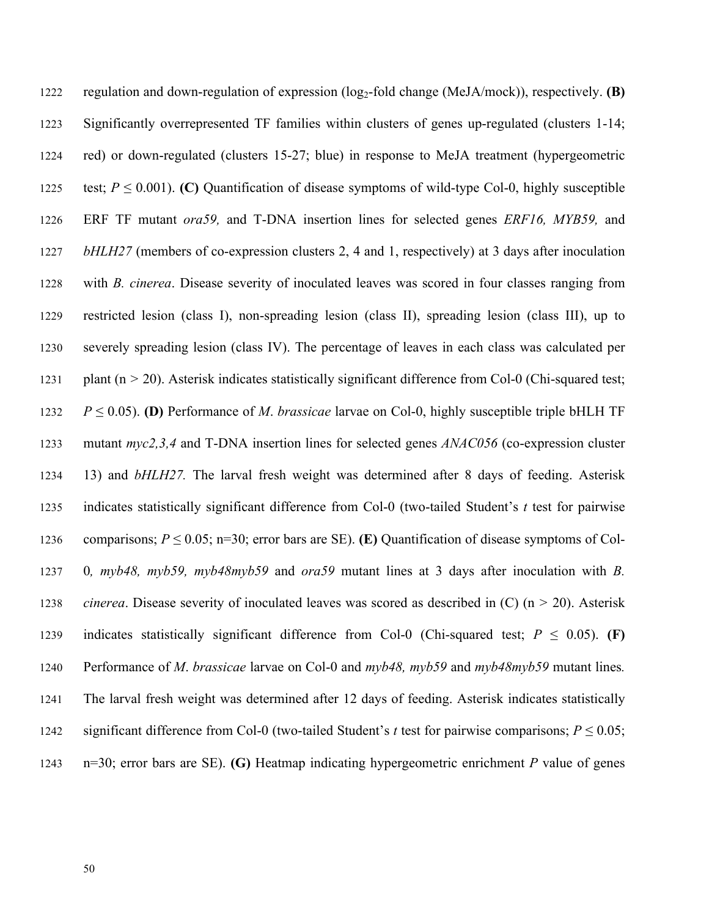regulation and down-regulation of expression (log2-fold change (MeJA/mock)), respectively. **(B)**  Significantly overrepresented TF families within clusters of genes up-regulated (clusters 1-14; red) or down-regulated (clusters 15-27; blue) in response to MeJA treatment (hypergeometric 1225 test;  $P \le 0.001$ ). **(C)** Quantification of disease symptoms of wild-type Col-0, highly susceptible ERF TF mutant *ora59,* and T-DNA insertion lines for selected genes *ERF16, MYB59,* and *bHLH27* (members of co-expression clusters 2, 4 and 1, respectively) at 3 days after inoculation with *B. cinerea*. Disease severity of inoculated leaves was scored in four classes ranging from restricted lesion (class I), non-spreading lesion (class II), spreading lesion (class III), up to severely spreading lesion (class IV). The percentage of leaves in each class was calculated per plant (n *>* 20). Asterisk indicates statistically significant difference from Col-0 (Chi-squared test; *P*  $\leq$  0.05). **(D)** Performance of *M. brassicae* larvae on Col-0, highly susceptible triple bHLH TF mutant *myc2,3,4* and T-DNA insertion lines for selected genes *ANAC056* (co-expression cluster 13) and *bHLH27.* The larval fresh weight was determined after 8 days of feeding. Asterisk indicates statistically significant difference from Col-0 (two-tailed Student's *t* test for pairwise 1236 comparisons;  $P \le 0.05$ ; n=30; error bars are SE). **(E)** Quantification of disease symptoms of Col- 0*, myb48, myb59, myb48myb59* and *ora59* mutant lines at 3 days after inoculation with *B. cinerea*. Disease severity of inoculated leaves was scored as described in (C) (n *>* 20). Asterisk 1239 indicates statistically significant difference from Col-0 (Chi-squared test;  $P \le 0.05$ ). **(F)**  Performance of *M*. *brassicae* larvae on Col-0 and *myb48, myb59* and *myb48myb59* mutant lines*.* The larval fresh weight was determined after 12 days of feeding. Asterisk indicates statistically 1242 significant difference from Col-0 (two-tailed Student's *t* test for pairwise comparisons;  $P \le 0.05$ ; n=30; error bars are SE). **(G)** Heatmap indicating hypergeometric enrichment *P* value of genes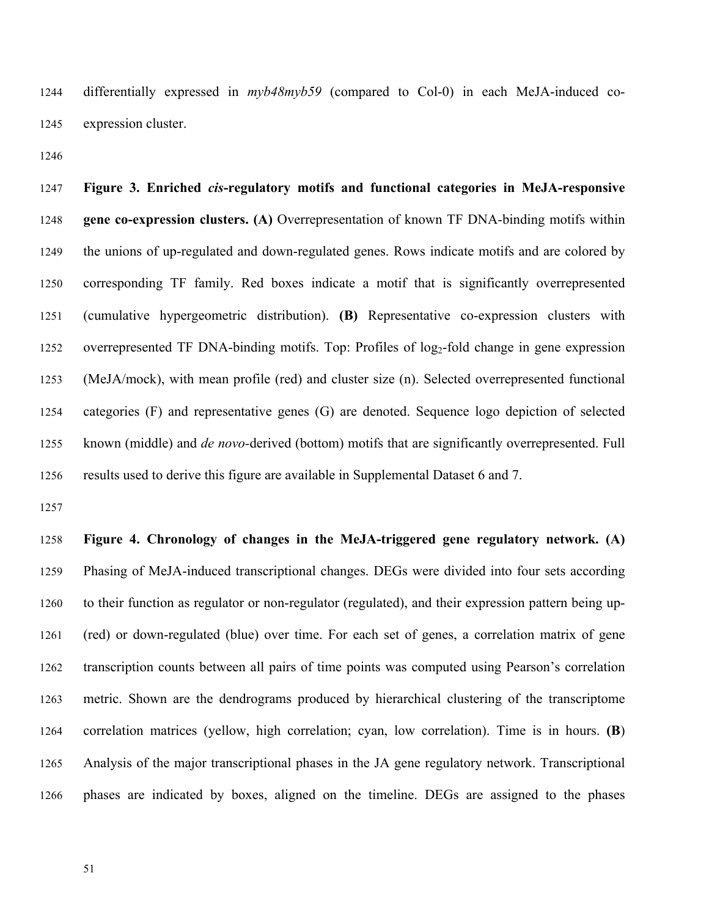differentially expressed in *myb48myb59* (compared to Col-0) in each MeJA-induced co-expression cluster.

 **Figure 3. Enriched** *cis***-regulatory motifs and functional categories in MeJA-responsive gene co-expression clusters. (A)** Overrepresentation of known TF DNA-binding motifs within the unions of up-regulated and down-regulated genes. Rows indicate motifs and are colored by corresponding TF family. Red boxes indicate a motif that is significantly overrepresented (cumulative hypergeometric distribution). **(B)** Representative co-expression clusters with 1252 overrepresented TF DNA-binding motifs. Top: Profiles of log<sub>2</sub>-fold change in gene expression (MeJA/mock), with mean profile (red) and cluster size (n). Selected overrepresented functional categories (F) and representative genes (G) are denoted. Sequence logo depiction of selected known (middle) and *de novo-*derived (bottom) motifs that are significantly overrepresented. Full results used to derive this figure are available in Supplemental Dataset 6 and 7.

 **Figure 4. Chronology of changes in the MeJA-triggered gene regulatory network. (A)** Phasing of MeJA-induced transcriptional changes. DEGs were divided into four sets according to their function as regulator or non-regulator (regulated), and their expression pattern being up- (red) or down-regulated (blue) over time. For each set of genes, a correlation matrix of gene transcription counts between all pairs of time points was computed using Pearson's correlation metric. Shown are the dendrograms produced by hierarchical clustering of the transcriptome correlation matrices (yellow, high correlation; cyan, low correlation). Time is in hours. **(B**) Analysis of the major transcriptional phases in the JA gene regulatory network. Transcriptional phases are indicated by boxes, aligned on the timeline. DEGs are assigned to the phases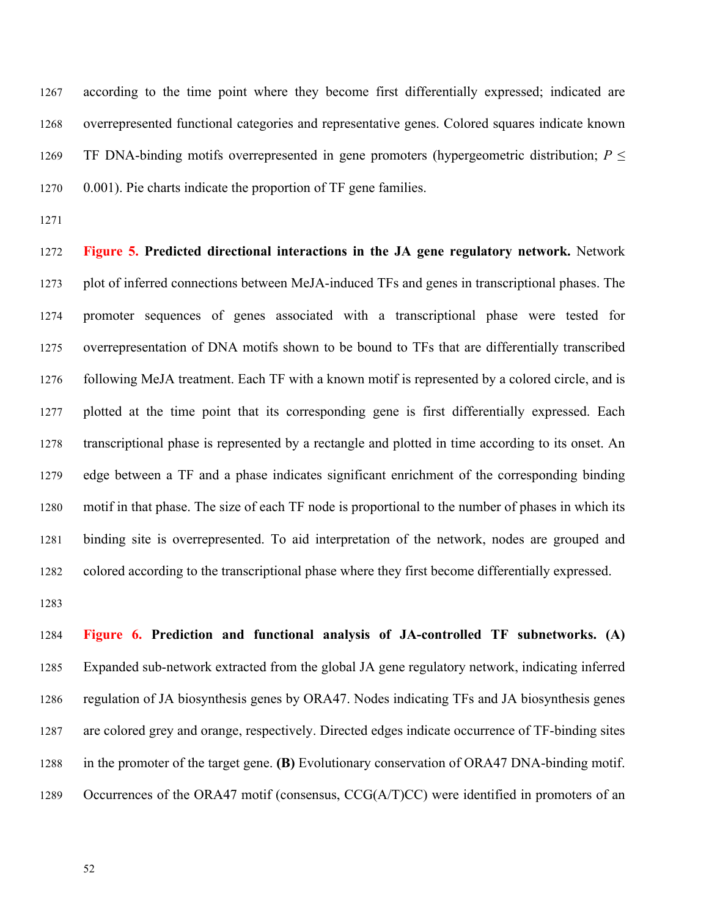according to the time point where they become first differentially expressed; indicated are overrepresented functional categories and representative genes. Colored squares indicate known TF DNA-binding motifs overrepresented in gene promoters (hypergeometric distribution; *P* ≤ 0.001). Pie charts indicate the proportion of TF gene families.

 **Figure 5. Predicted directional interactions in the JA gene regulatory network.** Network plot of inferred connections between MeJA-induced TFs and genes in transcriptional phases. The promoter sequences of genes associated with a transcriptional phase were tested for overrepresentation of DNA motifs shown to be bound to TFs that are differentially transcribed following MeJA treatment. Each TF with a known motif is represented by a colored circle, and is plotted at the time point that its corresponding gene is first differentially expressed. Each transcriptional phase is represented by a rectangle and plotted in time according to its onset. An edge between a TF and a phase indicates significant enrichment of the corresponding binding motif in that phase. The size of each TF node is proportional to the number of phases in which its binding site is overrepresented. To aid interpretation of the network, nodes are grouped and colored according to the transcriptional phase where they first become differentially expressed.

 **Figure 6. Prediction and functional analysis of JA-controlled TF subnetworks. (A)** Expanded sub-network extracted from the global JA gene regulatory network, indicating inferred regulation of JA biosynthesis genes by ORA47. Nodes indicating TFs and JA biosynthesis genes are colored grey and orange, respectively. Directed edges indicate occurrence of TF-binding sites in the promoter of the target gene. **(B)** Evolutionary conservation of ORA47 DNA-binding motif. 1289 Occurrences of the ORA47 motif (consensus, CCG(A/T)CC) were identified in promoters of an